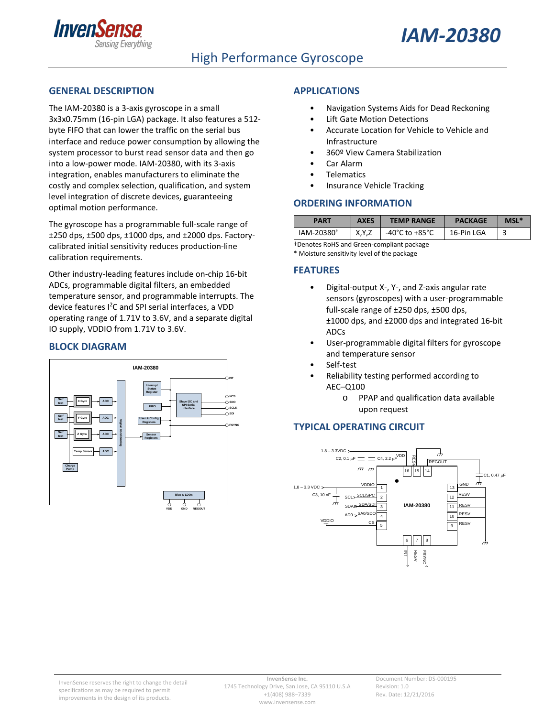



### High Performance Gyroscope

#### <span id="page-0-0"></span>**GENERAL DESCRIPTION**

The IAM-20380 is a 3-axis gyroscope in a small 3x3x0.75mm (16-pin LGA) package. It also features a 512 byte FIFO that can lower the traffic on the serial bus interface and reduce power consumption by allowing the system processor to burst read sensor data and then go into a low-power mode. IAM-20380, with its 3-axis integration, enables manufacturers to eliminate the costly and complex selection, qualification, and system level integration of discrete devices, guaranteeing optimal motion performance.

The gyroscope has a programmable full-scale range of ±250 dps, ±500 dps, ±1000 dps, and ±2000 dps. Factorycalibrated initial sensitivity reduces production-line calibration requirements.

Other industry-leading features include on-chip 16-bit ADCs, programmable digital filters, an embedded temperature sensor, and programmable interrupts. The device features I<sup>2</sup>C and SPI serial interfaces, a VDD operating range of 1.71V to 3.6V, and a separate digital IO supply, VDDIO from 1.71V to 3.6V.

#### <span id="page-0-1"></span>**BLOCK DIAGRAM**



#### <span id="page-0-2"></span>**APPLICATIONS**

- Navigation Systems Aids for Dead Reckoning
- **Lift Gate Motion Detections**
- Accurate Location for Vehicle to Vehicle and Infrastructure
- 360º View Camera Stabilization
- Car Alarm
- **Telematics**
- Insurance Vehicle Tracking

#### <span id="page-0-3"></span>**ORDERING INFORMATION**

| <b>PART</b>            | <b>AXES</b> | <b>TEMP RANGE</b> | <b>PACKAGE</b> | MSL*   |
|------------------------|-------------|-------------------|----------------|--------|
| IAM-20380 <sup>+</sup> | X,Y,Z       | -40°C to +85°C    | 16-Pin LGA     | ∽<br>ے |

†Denotes RoHS and Green-compliant package \* Moisture sensitivity level of the package

<span id="page-0-4"></span>**FEATURES**

- Digital-output X-, Y-, and Z-axis angular rate sensors (gyroscopes) with a user-programmable full-scale range of ±250 dps, ±500 dps, ±1000 dps, and ±2000 dps and integrated 16-bit ADCs
- User-programmable digital filters for gyroscope and temperature sensor
- Self-test
- <span id="page-0-5"></span>• Reliability testing performed according to AEC–Q100
	- o PPAP and qualification data available upon request

#### **TYPICAL OPERATING CIRCUIT**

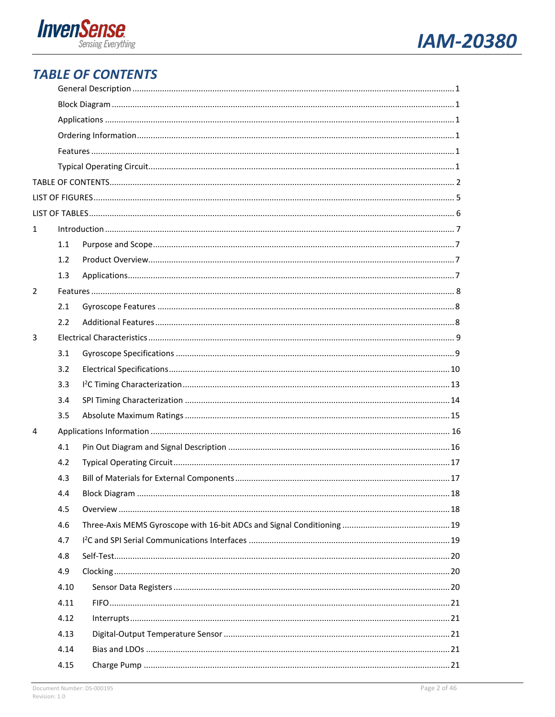



## <span id="page-1-0"></span>**TABLE OF CONTENTS**

| $\mathbf{1}$ |      |  |
|--------------|------|--|
|              | 1.1  |  |
|              | 1.2  |  |
|              | 1.3  |  |
| 2            |      |  |
|              | 2.1  |  |
|              | 2.2  |  |
| 3            |      |  |
|              | 3.1  |  |
|              | 3.2  |  |
|              | 3.3  |  |
|              | 3.4  |  |
|              | 3.5  |  |
| 4            |      |  |
|              | 4.1  |  |
|              | 4.2  |  |
|              | 4.3  |  |
|              | 4.4  |  |
|              | 4.5  |  |
|              | 4.6  |  |
|              | 4.7  |  |
|              | 4.8  |  |
|              | 4.9  |  |
|              | 4.10 |  |
|              | 4.11 |  |
|              | 4.12 |  |
|              | 4.13 |  |
|              | 4.14 |  |
|              | 4.15 |  |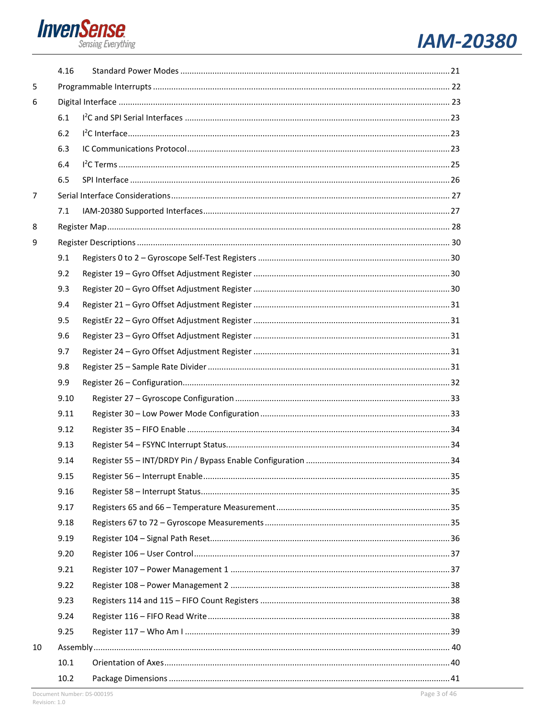

# **IAM-20380**

|                | 4.16 |  |
|----------------|------|--|
| 5              |      |  |
| 6              |      |  |
|                | 6.1  |  |
|                | 6.2  |  |
|                | 6.3  |  |
|                | 6.4  |  |
|                | 6.5  |  |
| $\overline{7}$ |      |  |
|                | 7.1  |  |
| 8              |      |  |
| 9              |      |  |
|                | 9.1  |  |
|                | 9.2  |  |
|                | 9.3  |  |
|                | 9.4  |  |
|                | 9.5  |  |
|                | 9.6  |  |
|                | 9.7  |  |
|                | 9.8  |  |
|                | 9.9  |  |
|                | 9.10 |  |
|                | 9.11 |  |
|                | 9.12 |  |
|                | 9.13 |  |
|                | 9.14 |  |
|                | 9.15 |  |
|                | 9.16 |  |
|                | 9.17 |  |
|                | 9.18 |  |
|                | 9.19 |  |
|                | 9.20 |  |
|                | 9.21 |  |
|                | 9.22 |  |
|                | 9.23 |  |
|                | 9.24 |  |
|                | 9.25 |  |
| 10             |      |  |
|                | 10.1 |  |
|                | 10.2 |  |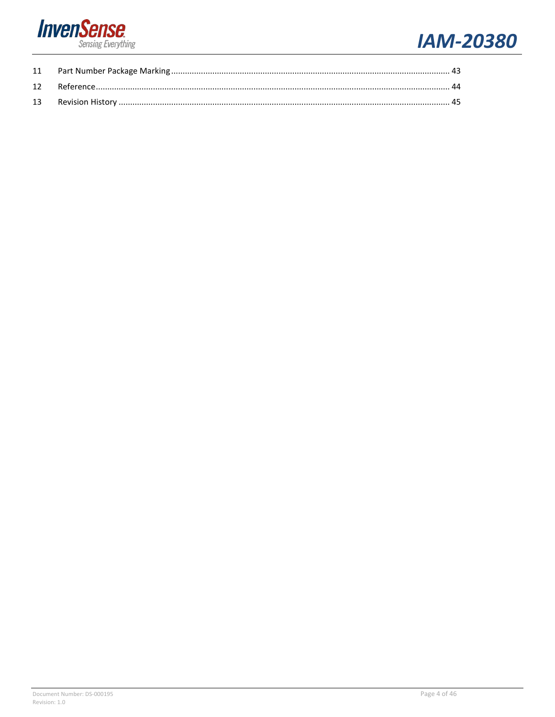

# **IAM-20380**

<span id="page-3-0"></span>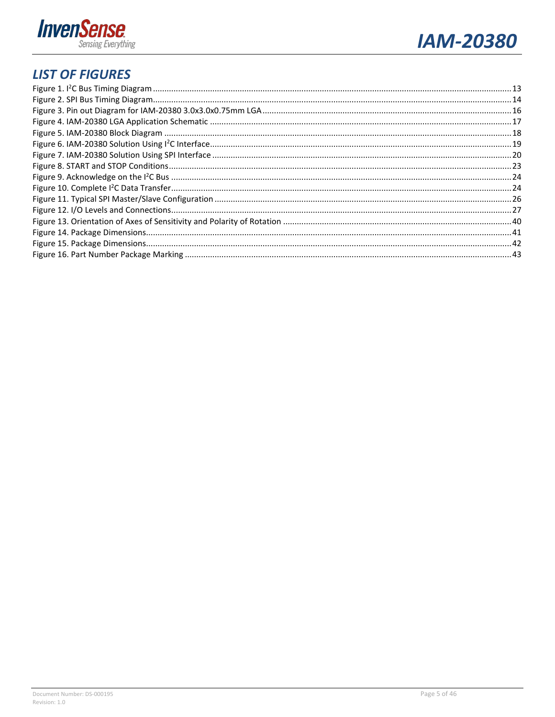



## **LIST OF FIGURES**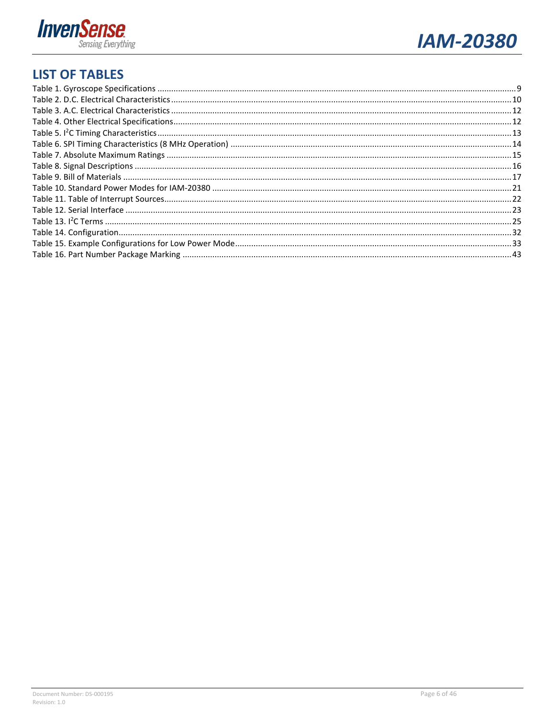



## <span id="page-5-0"></span>**LIST OF TABLES**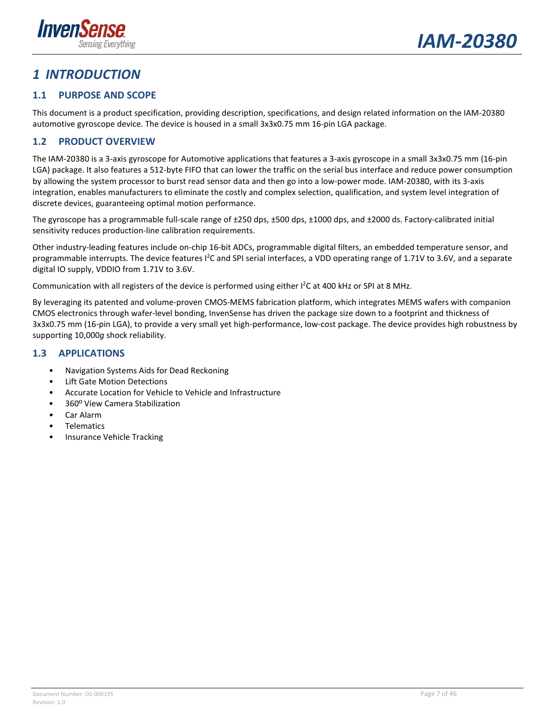

## <span id="page-6-0"></span>*1 INTRODUCTION*

### <span id="page-6-1"></span>**1.1 PURPOSE AND SCOPE**

This document is a product specification, providing description, specifications, and design related information on the IAM-20380 automotive gyroscope device. The device is housed in a small 3x3x0.75 mm 16-pin LGA package.

### <span id="page-6-2"></span>**1.2 PRODUCT OVERVIEW**

The IAM-20380 is a 3-axis gyroscope for Automotive applications that features a 3-axis gyroscope in a small 3x3x0.75 mm (16-pin LGA) package. It also features a 512-byte FIFO that can lower the traffic on the serial bus interface and reduce power consumption by allowing the system processor to burst read sensor data and then go into a low-power mode. IAM-20380, with its 3-axis integration, enables manufacturers to eliminate the costly and complex selection, qualification, and system level integration of discrete devices, guaranteeing optimal motion performance.

The gyroscope has a programmable full-scale range of ±250 dps, ±500 dps, ±1000 dps, and ±2000 ds. Factory-calibrated initial sensitivity reduces production-line calibration requirements.

Other industry-leading features include on-chip 16-bit ADCs, programmable digital filters, an embedded temperature sensor, and programmable interrupts. The device features I<sup>2</sup>C and SPI serial interfaces, a VDD operating range of 1.71V to 3.6V, and a separate digital IO supply, VDDIO from 1.71V to 3.6V.

Communication with all registers of the device is performed using either I<sup>2</sup>C at 400 kHz or SPI at 8 MHz.

By leveraging its patented and volume-proven CMOS-MEMS fabrication platform, which integrates MEMS wafers with companion CMOS electronics through wafer-level bonding, InvenSense has driven the package size down to a footprint and thickness of 3x3x0.75 mm (16-pin LGA), to provide a very small yet high-performance, low-cost package. The device provides high robustness by supporting 10,000*g* shock reliability.

#### <span id="page-6-3"></span>**1.3 APPLICATIONS**

- Navigation Systems Aids for Dead Reckoning
- Lift Gate Motion Detections
- Accurate Location for Vehicle to Vehicle and Infrastructure
- 360º View Camera Stabilization
- Car Alarm
- **Telematics**
- Insurance Vehicle Tracking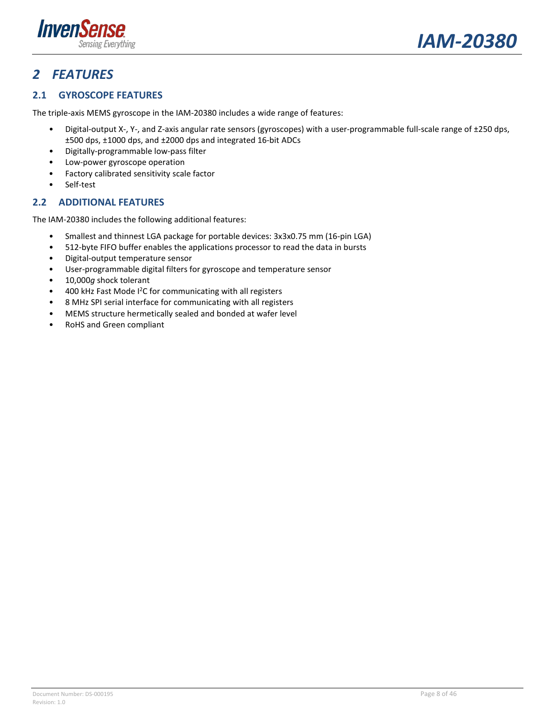



## <span id="page-7-0"></span>*2 FEATURES*

### <span id="page-7-1"></span>**2.1 GYROSCOPE FEATURES**

The triple-axis MEMS gyroscope in the IAM-20380 includes a wide range of features:

- Digital-output X-, Y-, and Z-axis angular rate sensors (gyroscopes) with a user-programmable full-scale range of ±250 dps, ±500 dps, ±1000 dps, and ±2000 dps and integrated 16-bit ADCs
- Digitally-programmable low-pass filter
- Low-power gyroscope operation
- Factory calibrated sensitivity scale factor
- Self-test

#### <span id="page-7-2"></span>**2.2 ADDITIONAL FEATURES**

The IAM-20380 includes the following additional features:

- Smallest and thinnest LGA package for portable devices: 3x3x0.75 mm (16-pin LGA)
- 512-byte FIFO buffer enables the applications processor to read the data in bursts
- Digital-output temperature sensor
- User-programmable digital filters for gyroscope and temperature sensor
- 10,000*g* shock tolerant
- 400 kHz Fast Mode I<sup>2</sup>C for communicating with all registers
- 8 MHz SPI serial interface for communicating with all registers
- MEMS structure hermetically sealed and bonded at wafer level
- RoHS and Green compliant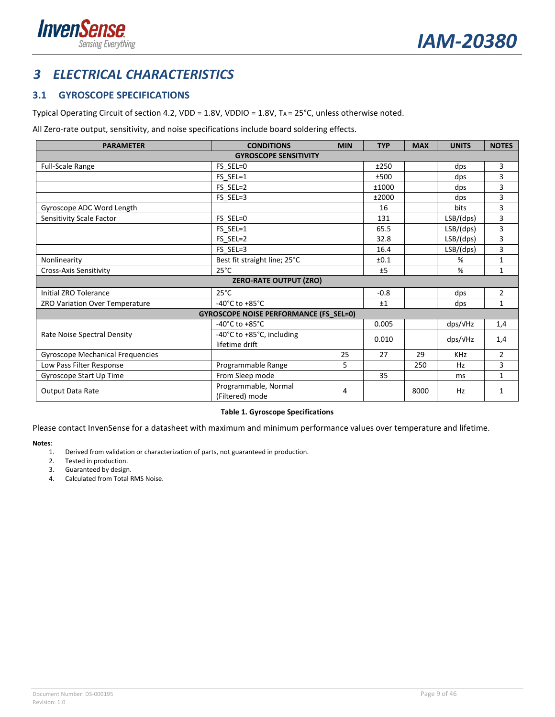



## <span id="page-8-0"></span>*3 ELECTRICAL CHARACTERISTICS*

### <span id="page-8-1"></span>**3.1 GYROSCOPE SPECIFICATIONS**

Typical Operating Circuit of section [4.2,](#page-16-0) VDD = 1.8V, VDDIO = 1.8V, TA = 25°C, unless otherwise noted.

All Zero-rate output, sensitivity, and noise specifications include board soldering effects.

| <b>PARAMETER</b>                        | <b>CONDITIONS</b>                             | <b>MIN</b> | <b>TYP</b> | <b>MAX</b> | <b>UNITS</b>      | <b>NOTES</b>   |
|-----------------------------------------|-----------------------------------------------|------------|------------|------------|-------------------|----------------|
|                                         | <b>GYROSCOPE SENSITIVITY</b>                  |            |            |            |                   |                |
| Full-Scale Range                        | FS SEL=0                                      |            | ±250       |            | dps               | 3              |
|                                         | FS SEL=1                                      |            | ±500       |            | dps               | 3              |
|                                         | FS SEL=2                                      |            | ±1000      |            | dps               | 3              |
|                                         | FS SEL=3                                      |            | ±2000      |            | dps               | 3              |
| Gyroscope ADC Word Length               |                                               |            | 16         |            | <b>bits</b>       | 3              |
| Sensitivity Scale Factor                | FS SEL=0                                      |            | 131        |            | LSB/(dps)         | 3              |
|                                         | FS SEL=1                                      |            | 65.5       |            | LSB/(dps)         | 3              |
|                                         | FS SEL=2                                      |            | 32.8       |            | LSB/(dps)         | 3              |
|                                         | FS SEL=3                                      |            | 16.4       |            | LSB/(dps)         | 3              |
| Nonlinearity                            | Best fit straight line; 25°C                  |            | ±0.1       |            | %                 | $\mathbf{1}$   |
| <b>Cross-Axis Sensitivity</b>           | $25^{\circ}$ C                                |            | ±5         |            | %                 | 1              |
|                                         | <b>ZERO-RATE OUTPUT (ZRO)</b>                 |            |            |            |                   |                |
| <b>Initial ZRO Tolerance</b>            | $25^{\circ}$ C                                |            | $-0.8$     |            | dps               | 2              |
| ZRO Variation Over Temperature          | -40 $^{\circ}$ C to +85 $^{\circ}$ C          |            | ±1         |            | dps               | 1              |
|                                         | <b>GYROSCOPE NOISE PERFORMANCE (FS_SEL=0)</b> |            |            |            |                   |                |
|                                         | -40 $^{\circ}$ C to +85 $^{\circ}$ C          |            | 0.005      |            | $\frac{dps}{vHz}$ | 1,4            |
| Rate Noise Spectral Density             | -40°C to +85°C, including<br>lifetime drift   |            | 0.010      |            | $\frac{dps}{vHz}$ | 1,4            |
| <b>Gyroscope Mechanical Frequencies</b> |                                               | 25         | 27         | 29         | <b>KHz</b>        | $\overline{2}$ |
| Low Pass Filter Response                | Programmable Range                            | 5          |            | 250        | Hz                | 3              |
| Gyroscope Start Up Time                 | From Sleep mode                               |            | 35         |            | ms                | $\mathbf{1}$   |
| <b>Output Data Rate</b>                 | Programmable, Normal<br>(Filtered) mode       | 4          |            | 8000       | Hz                | 1              |

#### **Table 1. Gyroscope Specifications**

<span id="page-8-2"></span>Please contact InvenSense for a datasheet with maximum and minimum performance values over temperature and lifetime.

**Notes**:

- 1. Derived from validation or characterization of parts, not guaranteed in production.
- 2. Tested in production.
- 3. Guaranteed by design.
- 4. Calculated from Total RMS Noise.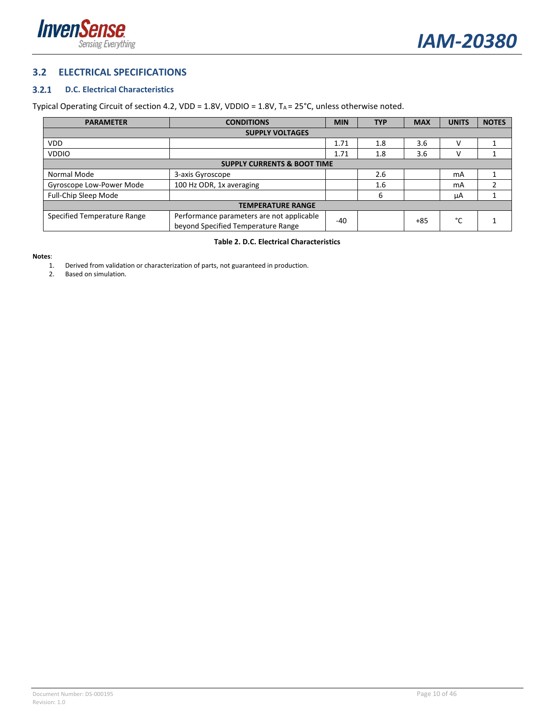



#### <span id="page-9-0"></span>**3.2 ELECTRICAL SPECIFICATIONS**

#### <span id="page-9-2"></span> $3.2.1$ **D.C. Electrical Characteristics**

#### Typical Operating Circuit of section [4.2,](#page-16-0) VDD =  $1.8V$ , VDDIO =  $1.8V$ , T<sub>A</sub> =  $25^{\circ}$ C, unless otherwise noted.

| <b>PARAMETER</b>                       | <b>CONDITIONS</b>                                                               | <b>MIN</b> | <b>TYP</b> | <b>MAX</b> | <b>UNITS</b> | <b>NOTES</b> |
|----------------------------------------|---------------------------------------------------------------------------------|------------|------------|------------|--------------|--------------|
| <b>SUPPLY VOLTAGES</b>                 |                                                                                 |            |            |            |              |              |
| VDD.                                   |                                                                                 | 1.71       | 1.8        | 3.6        | v            |              |
| <b>VDDIO</b>                           |                                                                                 | 1.71       | 1.8        | 3.6        | ν            |              |
| <b>SUPPLY CURRENTS &amp; BOOT TIME</b> |                                                                                 |            |            |            |              |              |
| Normal Mode                            | 3-axis Gyroscope                                                                |            | 2.6        |            | mA           |              |
| Gyroscope Low-Power Mode               | 100 Hz ODR, 1x averaging                                                        |            | 1.6        |            | mA           |              |
| Full-Chip Sleep Mode                   |                                                                                 |            | 6          |            | μA           |              |
| <b>TEMPERATURE RANGE</b>               |                                                                                 |            |            |            |              |              |
| Specified Temperature Range            | Performance parameters are not applicable<br>beyond Specified Temperature Range | -40        |            | $+85$      | °c           |              |

#### **Table 2. D.C. Electrical Characteristics**

#### <span id="page-9-1"></span>**Notes**:

- 1. Derived from validation or characterization of parts, not guaranteed in production.
- 2. Based on simulation.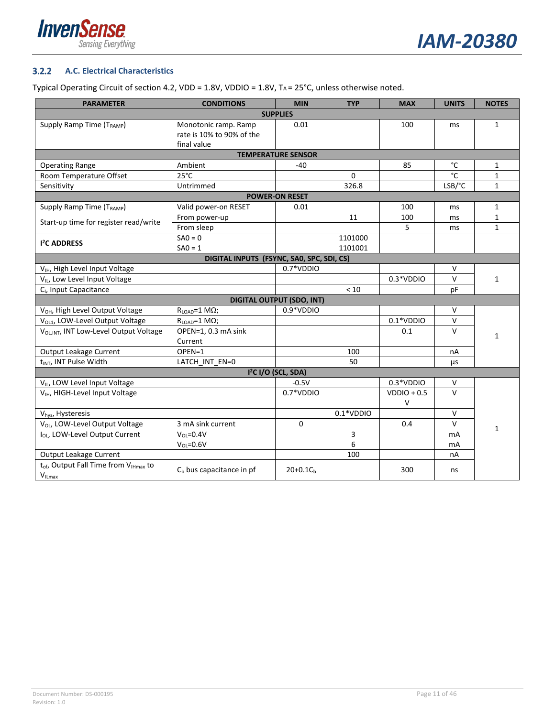



#### <span id="page-10-0"></span> $3.2.2$ **A.C. Electrical Characteristics**

#### Typical Operating Circuit of section [4.2,](#page-16-0) VDD =  $1.8V$ , VDDIO =  $1.8V$ , T<sub>A</sub> =  $25^{\circ}$ C, unless otherwise noted.

| <b>PARAMETER</b>                                              | <b>CONDITIONS</b>           | <b>MIN</b>                       | <b>TYP</b>  | <b>MAX</b>    | <b>UNITS</b>   | <b>NOTES</b> |  |  |
|---------------------------------------------------------------|-----------------------------|----------------------------------|-------------|---------------|----------------|--------------|--|--|
|                                                               |                             | <b>SUPPLIES</b>                  |             |               |                |              |  |  |
| Supply Ramp Time (T <sub>RAMP</sub> )                         | Monotonic ramp. Ramp        | 0.01                             |             | 100           | ms             | $\mathbf{1}$ |  |  |
|                                                               | rate is 10% to 90% of the   |                                  |             |               |                |              |  |  |
|                                                               | final value                 |                                  |             |               |                |              |  |  |
|                                                               |                             | <b>TEMPERATURE SENSOR</b>        |             |               |                |              |  |  |
| <b>Operating Range</b>                                        | Ambient                     | $-40$                            |             | 85            | $^{\circ}$ C   | $\mathbf{1}$ |  |  |
| Room Temperature Offset                                       | $25^{\circ}$ C              |                                  | $\Omega$    |               | °C             | $\mathbf{1}$ |  |  |
| Sensitivity                                                   | Untrimmed                   |                                  | 326.8       |               | LSB/°C         | $\mathbf{1}$ |  |  |
|                                                               |                             | <b>POWER-ON RESET</b>            |             |               |                |              |  |  |
| Supply Ramp Time (T <sub>RAMP</sub> )                         | Valid power-on RESET        | 0.01                             |             | 100           | ms             | $\mathbf{1}$ |  |  |
|                                                               | From power-up               |                                  | 11          | 100           | ms             | $\mathbf{1}$ |  |  |
| Start-up time for register read/write                         | From sleep                  |                                  |             | 5             | ms             | $\mathbf{1}$ |  |  |
|                                                               | $SAO = 0$                   |                                  | 1101000     |               |                |              |  |  |
| <b>I<sup>2</sup>C ADDRESS</b>                                 | $SAO = 1$                   |                                  | 1101001     |               |                |              |  |  |
| DIGITAL INPUTS (FSYNC, SAO, SPC, SDI, CS)                     |                             |                                  |             |               |                |              |  |  |
| V <sub>IH</sub> , High Level Input Voltage                    |                             | 0.7*VDDIO                        |             |               | V              |              |  |  |
| VIL, Low Level Input Voltage                                  |                             |                                  |             | 0.3*VDDIO     | $\mathsf{V}$   | $\mathbf{1}$ |  |  |
| C <sub>1</sub> , Input Capacitance                            |                             |                                  | < 10        |               | pF             |              |  |  |
|                                                               |                             | <b>DIGITAL OUTPUT (SDO, INT)</b> |             |               |                |              |  |  |
| V <sub>OH</sub> , High Level Output Voltage                   | $R_{LOAD} = 1 M\Omega$ ;    | $0.9*VDDIO$                      |             |               | $\vee$         |              |  |  |
| V <sub>OL1</sub> , LOW-Level Output Voltage                   | $R_{LOAD} = 1 M\Omega$ ;    |                                  |             | $0.1*VDDIO$   | $\vee$         |              |  |  |
| V <sub>OLINT</sub> , INT Low-Level Output Voltage             | OPEN=1, 0.3 mA sink         |                                  |             | 0.1           | $\mathsf{V}$   |              |  |  |
|                                                               | Current                     |                                  |             |               |                | $\mathbf{1}$ |  |  |
| Output Leakage Current                                        | OPEN=1                      |                                  | 100         |               | nA             |              |  |  |
| t <sub>INT</sub> , INT Pulse Width                            | LATCH INT EN=0              |                                  | 50          |               | μs             |              |  |  |
|                                                               |                             | 1 <sup>2</sup> C I/O (SCL, SDA)  |             |               |                |              |  |  |
| V <sub>IL</sub> , LOW Level Input Voltage                     |                             | $-0.5V$                          |             | $0.3*VDDIO$   | $\vee$         |              |  |  |
| V <sub>IH</sub> , HIGH-Level Input Voltage                    |                             | $0.7*VDDIO$                      |             | $VDDIO + 0.5$ | $\mathsf{V}$   |              |  |  |
|                                                               |                             |                                  |             | $\vee$        |                |              |  |  |
| Vhys, Hysteresis                                              |                             |                                  | $0.1*VDDIO$ |               | $\vee$         |              |  |  |
| V <sub>OL</sub> , LOW-Level Output Voltage                    | 3 mA sink current           | $\Omega$                         |             | 0.4           | $\mathsf{V}$   |              |  |  |
| I <sub>OL</sub> , LOW-Level Output Current                    | $V_{OL} = 0.4V$             |                                  | 3           |               | m <sub>A</sub> | $\mathbf{1}$ |  |  |
|                                                               | $V_{OL} = 0.6V$             |                                  | 6           |               | mA             |              |  |  |
| Output Leakage Current                                        |                             |                                  | 100         |               | nA             |              |  |  |
| t <sub>of</sub> , Output Fall Time from V <sub>IHmax</sub> to |                             |                                  |             |               |                |              |  |  |
| $V_{ILmax}$                                                   | $C_b$ bus capacitance in pf | $20+0.1Ch$                       |             | 300           | ns             |              |  |  |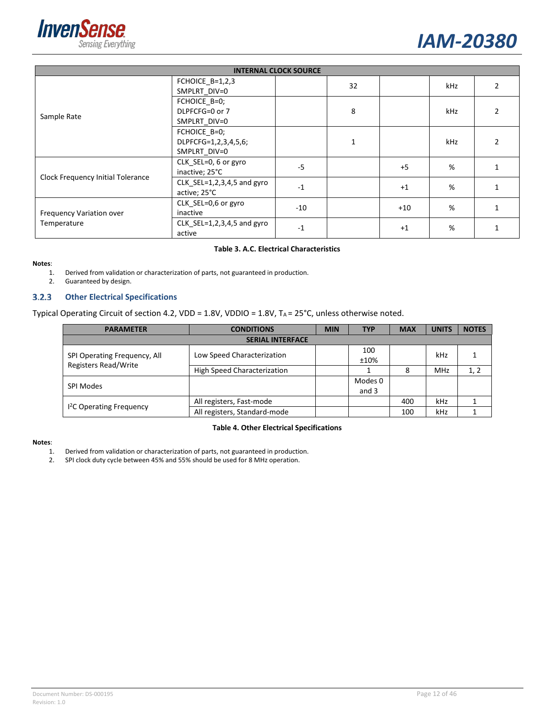



|                                   | <b>INTERNAL CLOCK SOURCE</b>                         |       |    |       |     |  |  |
|-----------------------------------|------------------------------------------------------|-------|----|-------|-----|--|--|
|                                   | FCHOICE $B=1,2,3$<br>SMPLRT DIV=0                    |       | 32 |       | kHz |  |  |
| Sample Rate                       | FCHOICE B=0;<br>DLPFCFG=0 or 7<br>SMPLRT_DIV=0       |       | 8  |       | kHz |  |  |
|                                   | FCHOICE B=0;<br>DLPFCFG=1,2,3,4,5,6;<br>SMPLRT_DIV=0 |       |    |       | kHz |  |  |
| Clock Frequency Initial Tolerance | CLK SEL=0, 6 or gyro<br>inactive; 25°C               | $-5$  |    | $+5$  | %   |  |  |
|                                   | $CLK_SEL=1,2,3,4,5$ and gyro<br>active; 25°C         | $-1$  |    | $+1$  | %   |  |  |
| Frequency Variation over          | CLK_SEL=0,6 or gyro<br>inactive                      | $-10$ |    | $+10$ | %   |  |  |
| Temperature                       | $CLK_SEL=1,2,3,4,5$ and gyro<br>active               | $-1$  |    | $+1$  | %   |  |  |

#### **Table 3. A.C. Electrical Characteristics**

#### <span id="page-11-0"></span>**Notes**:

1. Derived from validation or characterization of parts, not guaranteed in production.

2. Guaranteed by design.

#### $3.2.3$ **Other Electrical Specifications**

Typical Operating Circuit of section [4.2,](#page-16-0) VDD = 1.8V, VDDIO = 1.8V, TA = 25°C, unless otherwise noted.

| <b>PARAMETER</b>                                            | <b>CONDITIONS</b>                  | <b>MIN</b> | <b>TYP</b>       | <b>MAX</b> | <b>UNITS</b> | <b>NOTES</b> |  |
|-------------------------------------------------------------|------------------------------------|------------|------------------|------------|--------------|--------------|--|
| <b>SERIAL INTERFACE</b>                                     |                                    |            |                  |            |              |              |  |
| SPI Operating Frequency, All<br><b>Registers Read/Write</b> | Low Speed Characterization         |            | 100<br>±10%      |            | kHz          |              |  |
|                                                             | <b>High Speed Characterization</b> |            |                  | 8          | <b>MHz</b>   |              |  |
| <b>SPI Modes</b>                                            |                                    |            | Modes 0<br>and 3 |            |              |              |  |
|                                                             | All registers, Fast-mode           |            |                  | 400        | kHz          |              |  |
| <sup>12</sup> C Operating Frequency                         | All registers, Standard-mode       |            |                  | 100        | kHz          |              |  |

#### **Table 4. Other Electrical Specifications**

#### <span id="page-11-1"></span>**Notes**:

- 1. Derived from validation or characterization of parts, not guaranteed in production.<br>2. SPI clock duty cycle between 45% and 55% should be used for 8 MHz operation.
- 2. SPI clock duty cycle between 45% and 55% should be used for 8 MHz operation.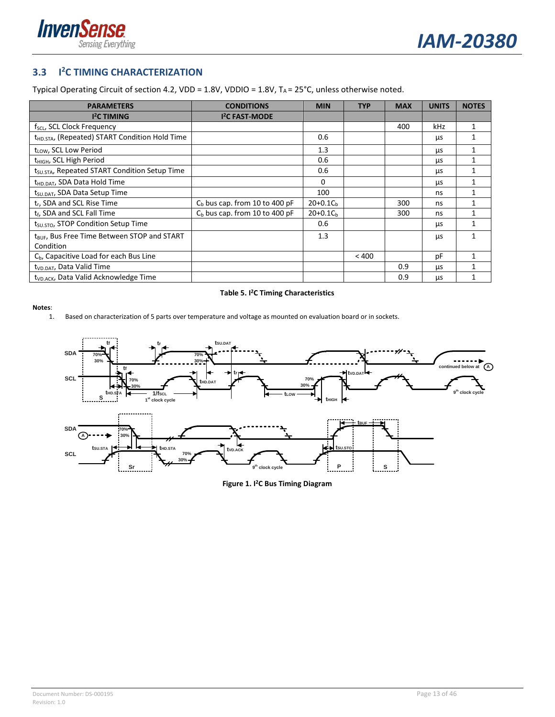



#### <span id="page-12-0"></span>**3.3 I 2C TIMING CHARACTERIZATION**

Typical Operating Circuit of section [4.2,](#page-16-0) VDD = 1.8V, VDDIO = 1.8V, TA = 25°C, unless otherwise noted.

| <b>PARAMETERS</b>                                                    | <b>CONDITIONS</b>                | <b>MIN</b> | <b>TYP</b> | <b>MAX</b> | <b>UNITS</b> | <b>NOTES</b> |
|----------------------------------------------------------------------|----------------------------------|------------|------------|------------|--------------|--------------|
| <b>I<sup>2</sup>C TIMING</b>                                         | <b>I<sup>2</sup>C FAST-MODE</b>  |            |            |            |              |              |
| $f_{SCL}$ , SCL Clock Frequency                                      |                                  |            |            | 400        | kHz          |              |
| t <sub>HD.STA</sub> , (Repeated) START Condition Hold Time           |                                  | 0.6        |            |            | μs           | 1            |
| t <sub>LOW</sub> , SCL Low Period                                    |                                  | 1.3        |            |            | μs           | $\mathbf{1}$ |
| t <sub>HIGH</sub> , SCL High Period                                  |                                  | 0.6        |            |            | μs           | 1            |
| t <sub>SU.STA</sub> , Repeated START Condition Setup Time            |                                  | 0.6        |            |            | μs           |              |
| t <sub>HD.DAT</sub> , SDA Data Hold Time                             |                                  | 0          |            |            | μs           | 1            |
| t <sub>SU.DAT</sub> , SDA Data Setup Time                            |                                  | 100        |            |            | ns           | 1            |
| t <sub>r</sub> , SDA and SCL Rise Time                               | $Cb$ bus cap. from 10 to 400 pF  | $20+0.1Ch$ |            | 300        | ns           |              |
| t <sub>f</sub> , SDA and SCL Fall Time                               | $C_b$ bus cap. from 10 to 400 pF | $20+0.1Ch$ |            | 300        | ns           | 1            |
| t <sub>su.STO</sub> , STOP Condition Setup Time                      |                                  | 0.6        |            |            | μs           |              |
| t <sub>RUE</sub> , Bus Free Time Between STOP and START<br>Condition |                                  | 1.3        |            |            | μs           | 1            |
| C <sub>b</sub> , Capacitive Load for each Bus Line                   |                                  |            | < 400      |            | рF           | 1            |
| t <sub>VD.DAT</sub> , Data Valid Time                                |                                  |            |            | 0.9        | μs           |              |
| t <sub>VD.ACK</sub> , Data Valid Acknowledge Time                    |                                  |            |            | 0.9        | μs           |              |

#### **Table 5. I 2C Timing Characteristics**

#### <span id="page-12-2"></span>**Notes**:

1. Based on characterization of 5 parts over temperature and voltage as mounted on evaluation board or in sockets.

<span id="page-12-1"></span>

**Figure 1. I 2C Bus Timing Diagram**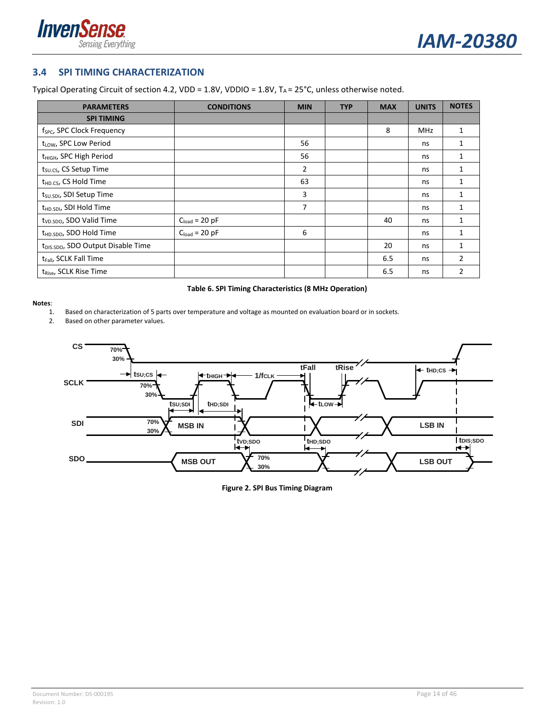



#### <span id="page-13-0"></span>**3.4 SPI TIMING CHARACTERIZATION**

Typical Operating Circuit of section [4.2,](#page-16-0) VDD = 1.8V, VDDIO = 1.8V, TA = 25°C, unless otherwise noted.

| <b>PARAMETERS</b>                              | <b>CONDITIONS</b>  | <b>MIN</b> | <b>TYP</b> | <b>MAX</b> | <b>UNITS</b> | <b>NOTES</b>   |
|------------------------------------------------|--------------------|------------|------------|------------|--------------|----------------|
| <b>SPI TIMING</b>                              |                    |            |            |            |              |                |
| f <sub>SPC</sub> , SPC Clock Frequency         |                    |            |            | 8          | <b>MHz</b>   | $\mathbf{1}$   |
| t <sub>LOW</sub> , SPC Low Period              |                    | 56         |            |            | ns           | 1              |
| t <sub>HIGH</sub> , SPC High Period            |                    | 56         |            |            | ns           | 1              |
| t <sub>su.cs</sub> , CS Setup Time             |                    | 2          |            |            | ns           | 1              |
| t <sub>HD.CS</sub> , CS Hold Time              |                    | 63         |            |            | ns           | 1              |
| t <sub>SU.SDI</sub> , SDI Setup Time           |                    | 3          |            |            | ns           | 1              |
| t <sub>HD.SDI</sub> , SDI Hold Time            |                    | 7          |            |            | ns           | 1              |
| t <sub>VD.SDO</sub> , SDO Valid Time           | $C_{load} = 20$ pF |            |            | 40         | ns           | $\mathbf{1}$   |
| t <sub>HD.SDO</sub> , SDO Hold Time            | $C_{load} = 20$ pF | 6          |            |            | ns           | 1              |
| t <sub>DIS.SDO</sub> , SDO Output Disable Time |                    |            |            | 20         | ns           | 1              |
| t <sub>Fall</sub> , SCLK Fall Time             |                    |            |            | 6.5        | ns           | 2              |
| t <sub>Rise</sub> , SCLK Rise Time             |                    |            |            | 6.5        | ns           | $\overline{2}$ |

#### **Table 6. SPI Timing Characteristics (8 MHz Operation)**

<span id="page-13-2"></span>**Notes**:

- 1. Based on characterization of 5 parts over temperature and voltage as mounted on evaluation board or in sockets.
- 2. Based on other parameter values.

<span id="page-13-1"></span>

**Figure 2. SPI Bus Timing Diagram**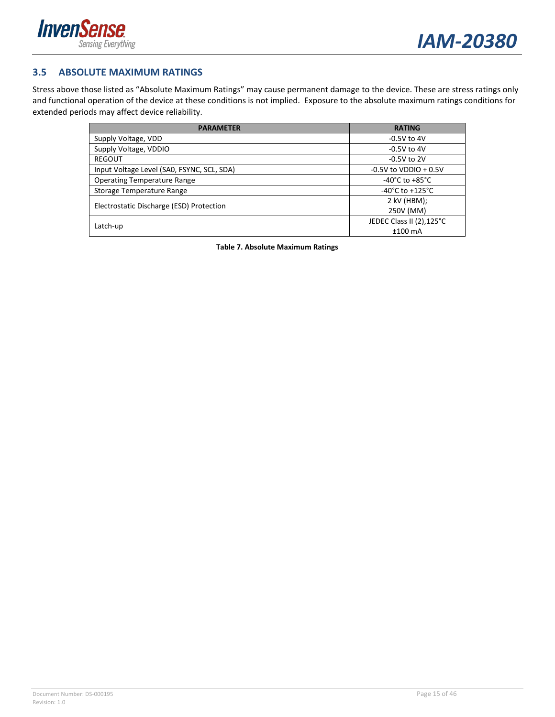



#### <span id="page-14-0"></span>**3.5 ABSOLUTE MAXIMUM RATINGS**

Stress above those listed as "Absolute Maximum Ratings" may cause permanent damage to the device. These are stress ratings only and functional operation of the device at these conditions is not implied. Exposure to the absolute maximum ratings conditions for extended periods may affect device reliability.

<span id="page-14-1"></span>

| <b>PARAMETER</b>                           | <b>RATING</b>                       |
|--------------------------------------------|-------------------------------------|
| Supply Voltage, VDD                        | $-0.5V$ to $4V$                     |
| Supply Voltage, VDDIO                      | $-0.5V$ to 4V                       |
| <b>REGOUT</b>                              | $-0.5V$ to 2V                       |
| Input Voltage Level (SAO, FSYNC, SCL, SDA) | $-0.5V$ to VDDIO $+0.5V$            |
| <b>Operating Temperature Range</b>         | -40°C to +85°C                      |
| Storage Temperature Range                  | $-40^{\circ}$ C to $+125^{\circ}$ C |
| Electrostatic Discharge (ESD) Protection   | 2 kV (HBM);                         |
|                                            | 250V (MM)                           |
| Latch-up                                   | JEDEC Class II (2),125°C            |
|                                            | $±100$ mA                           |

**Table 7. Absolute Maximum Ratings**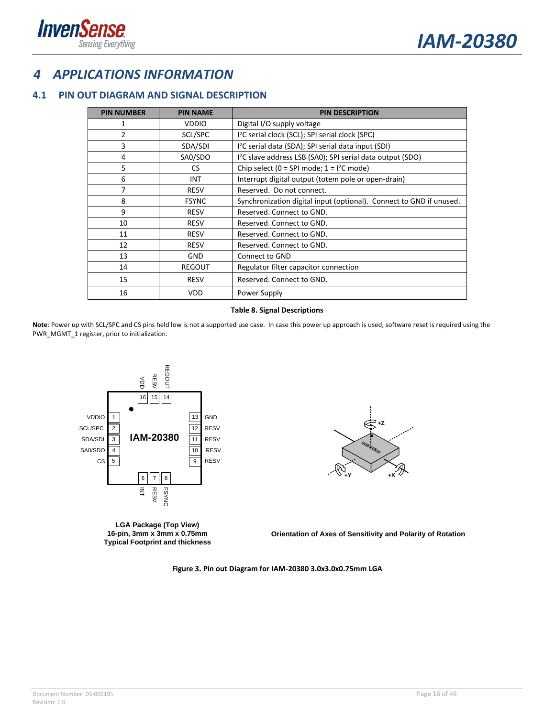

## <span id="page-15-0"></span>*4 APPLICATIONS INFORMATION*

### <span id="page-15-1"></span>**4.1 PIN OUT DIAGRAM AND SIGNAL DESCRIPTION**

| <b>PIN NUMBER</b> | <b>PIN NAME</b> | <b>PIN DESCRIPTION</b>                                                 |
|-------------------|-----------------|------------------------------------------------------------------------|
| 1                 | <b>VDDIO</b>    | Digital I/O supply voltage                                             |
| $\overline{2}$    | SCL/SPC         | I <sup>2</sup> C serial clock (SCL); SPI serial clock (SPC)            |
| 3                 | SDA/SDI         | I <sup>2</sup> C serial data (SDA); SPI serial data input (SDI)        |
| 4                 | SA0/SDO         | I <sup>2</sup> C slave address LSB (SA0); SPI serial data output (SDO) |
| 5                 | <b>CS</b>       | Chip select (0 = SPI mode; $1 = 1^2C$ mode)                            |
| 6                 | <b>INT</b>      | Interrupt digital output (totem pole or open-drain)                    |
| 7                 | <b>RESV</b>     | Reserved. Do not connect.                                              |
| 8                 | <b>FSYNC</b>    | Synchronization digital input (optional). Connect to GND if unused.    |
| 9                 | <b>RESV</b>     | Reserved. Connect to GND.                                              |
| 10                | <b>RESV</b>     | Reserved. Connect to GND.                                              |
| 11                | <b>RESV</b>     | Reserved. Connect to GND.                                              |
| 12                | <b>RESV</b>     | Reserved. Connect to GND.                                              |
| 13                | <b>GND</b>      | Connect to GND                                                         |
| 14                | <b>REGOUT</b>   | Regulator filter capacitor connection                                  |
| 15                | <b>RESV</b>     | Reserved. Connect to GND.                                              |
| 16                | <b>VDD</b>      | Power Supply                                                           |

#### **Table 8. Signal Descriptions**

<span id="page-15-3"></span>**Note**: Power up with SCL/SPC and CS pins held low is not a supported use case. In case this power up approach is used, software reset is required using the PWR\_MGMT\_1 register, prior to initialization.



<span id="page-15-2"></span>**LGA Package (Top View) 16-pin, 3mm x 3mm x 0.75mm Typical Footprint and thickness**



**Orientation of Axes of Sensitivity and Polarity of Rotation**

**Figure 3. Pin out Diagram for IAM-20380 3.0x3.0x0.75mm LGA**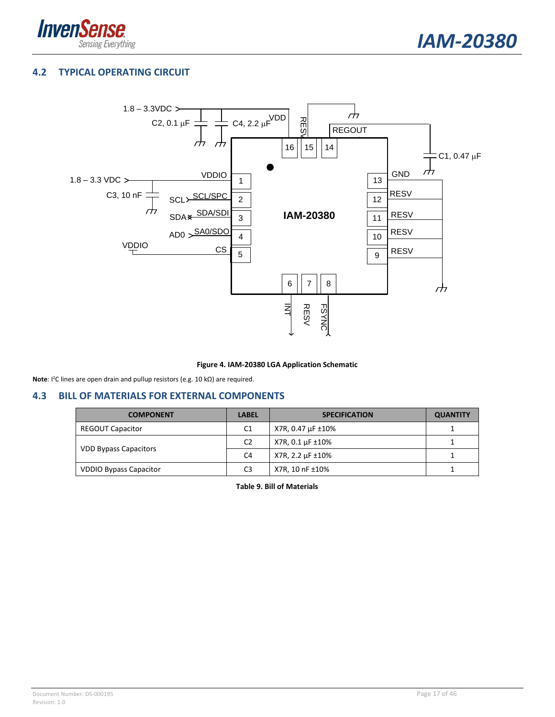



### <span id="page-16-0"></span>**4.2 TYPICAL OPERATING CIRCUIT**



#### **Figure 4. IAM-20380 LGA Application Schematic**

<span id="page-16-2"></span>**Note**: I2C lines are open drain and pullup resistors (e.g. 10 kΩ) are required.

#### <span id="page-16-1"></span>**4.3 BILL OF MATERIALS FOR EXTERNAL COMPONENTS**

<span id="page-16-3"></span>

| <b>COMPONENT</b>              | <b>LABEL</b>   | <b>SPECIFICATION</b> | <b>QUANTITY</b> |
|-------------------------------|----------------|----------------------|-----------------|
| <b>REGOUT Capacitor</b>       | C <sub>1</sub> | X7R, 0.47 µF ±10%    |                 |
|                               | C <sub>2</sub> | X7R, 0.1 µF ±10%     |                 |
| <b>VDD Bypass Capacitors</b>  | C <sub>4</sub> | X7R, 2.2 µF ±10%     |                 |
| <b>VDDIO Bypass Capacitor</b> | C <sub>3</sub> | X7R, 10 nF ±10%      |                 |

**Table 9. Bill of Materials**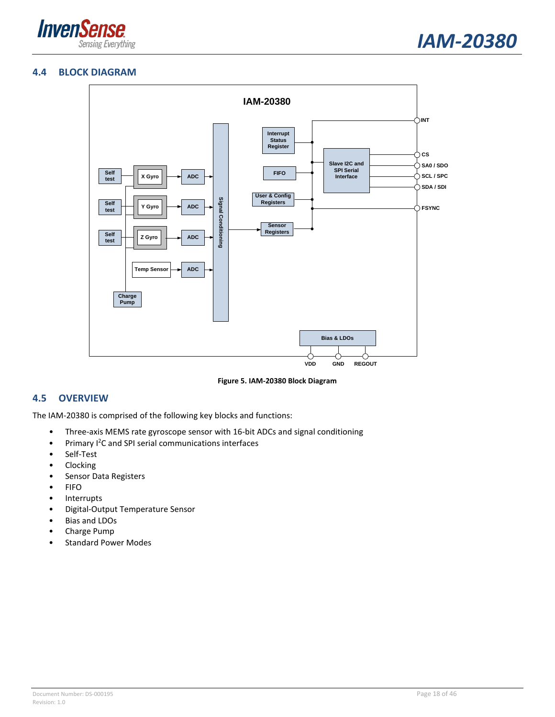

#### <span id="page-17-0"></span>**4.4 BLOCK DIAGRAM**



**Figure 5. IAM-20380 Block Diagram**

#### <span id="page-17-2"></span><span id="page-17-1"></span>**4.5 OVERVIEW**

The IAM-20380 is comprised of the following key blocks and functions:

- Three-axis MEMS rate gyroscope sensor with 16-bit ADCs and signal conditioning
- Primary <sup>12</sup>C and SPI serial communications interfaces
- Self-Test
- Clocking
- Sensor Data Registers
- FIFO
- **Interrupts**
- Digital-Output Temperature Sensor
- Bias and LDOs
- Charge Pump
- Standard Power Modes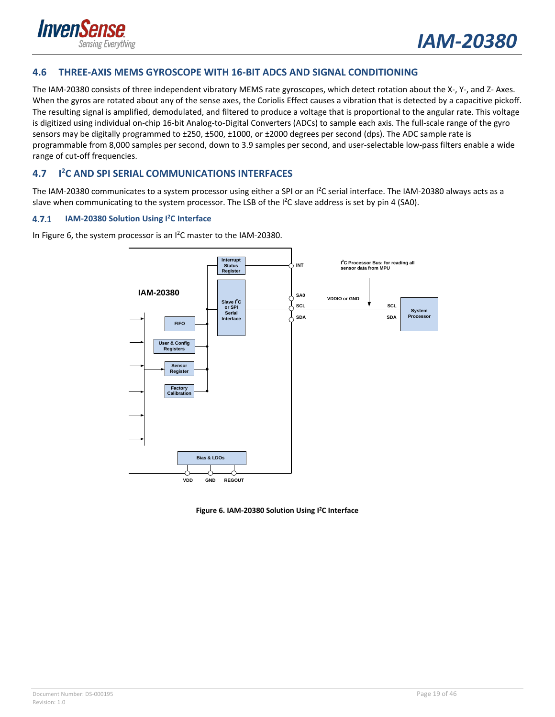

#### <span id="page-18-0"></span>**4.6 THREE-AXIS MEMS GYROSCOPE WITH 16-BIT ADCS AND SIGNAL CONDITIONING**

The IAM-20380 consists of three independent vibratory MEMS rate gyroscopes, which detect rotation about the X-, Y-, and Z- Axes. When the gyros are rotated about any of the sense axes, the Coriolis Effect causes a vibration that is detected by a capacitive pickoff. The resulting signal is amplified, demodulated, and filtered to produce a voltage that is proportional to the angular rate. This voltage is digitized using individual on-chip 16-bit Analog-to-Digital Converters (ADCs) to sample each axis. The full-scale range of the gyro sensors may be digitally programmed to ±250, ±500, ±1000, or ±2000 degrees per second (dps). The ADC sample rate is programmable from 8,000 samples per second, down to 3.9 samples per second, and user-selectable low-pass filters enable a wide range of cut-off frequencies.

#### <span id="page-18-1"></span>**4.7 I 2C AND SPI SERIAL COMMUNICATIONS INTERFACES**

The IAM-20380 communicates to a system processor using either a SPI or an I<sup>2</sup>C serial interface. The IAM-20380 always acts as a slave when communicating to the system processor. The LSB of the I<sup>2</sup>C slave address is set by pin 4 (SA0).

#### $4.7.1$ **IAM-20380 Solution Using I2 C Interface**

In [Figure 6,](#page-18-2) the system processor is an  $l^2C$  master to the IAM-20380.



<span id="page-18-2"></span>**Figure 6. IAM-20380 Solution Using I2C Interface**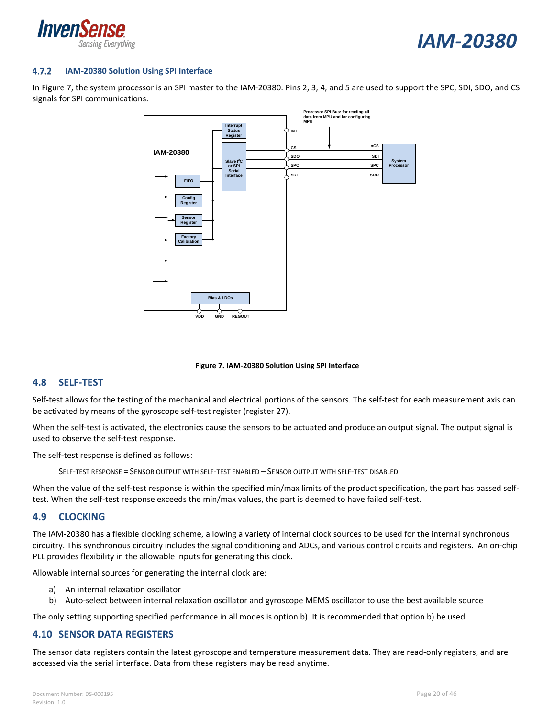



#### $4.7.2$ **IAM-20380 Solution Using SPI Interface**

In [Figure 7,](#page-19-3) the system processor is an SPI master to the IAM-20380. Pins 2, 3, 4, and 5 are used to support the SPC, SDI, SDO, and CS signals for SPI communications.



#### **Figure 7. IAM-20380 Solution Using SPI Interface**

#### <span id="page-19-3"></span><span id="page-19-0"></span>**4.8 SELF-TEST**

Self-test allows for the testing of the mechanical and electrical portions of the sensors. The self-test for each measurement axis can be activated by means of the gyroscope self-test register (register 27).

When the self-test is activated, the electronics cause the sensors to be actuated and produce an output signal. The output signal is used to observe the self-test response.

The self-test response is defined as follows:

SELF-TEST RESPONSE = SENSOR OUTPUT WITH SELF-TEST ENABLED – SENSOR OUTPUT WITH SELF-TEST DISABLED

When the value of the self-test response is within the specified min/max limits of the product specification, the part has passed selftest. When the self-test response exceeds the min/max values, the part is deemed to have failed self-test.

#### <span id="page-19-1"></span>**4.9 CLOCKING**

The IAM-20380 has a flexible clocking scheme, allowing a variety of internal clock sources to be used for the internal synchronous circuitry. This synchronous circuitry includes the signal conditioning and ADCs, and various control circuits and registers. An on-chip PLL provides flexibility in the allowable inputs for generating this clock.

Allowable internal sources for generating the internal clock are:

- a) An internal relaxation oscillator
- b) Auto-select between internal relaxation oscillator and gyroscope MEMS oscillator to use the best available source

The only setting supporting specified performance in all modes is option b). It is recommended that option b) be used.

#### <span id="page-19-2"></span>**4.10 SENSOR DATA REGISTERS**

The sensor data registers contain the latest gyroscope and temperature measurement data. They are read-only registers, and are accessed via the serial interface. Data from these registers may be read anytime.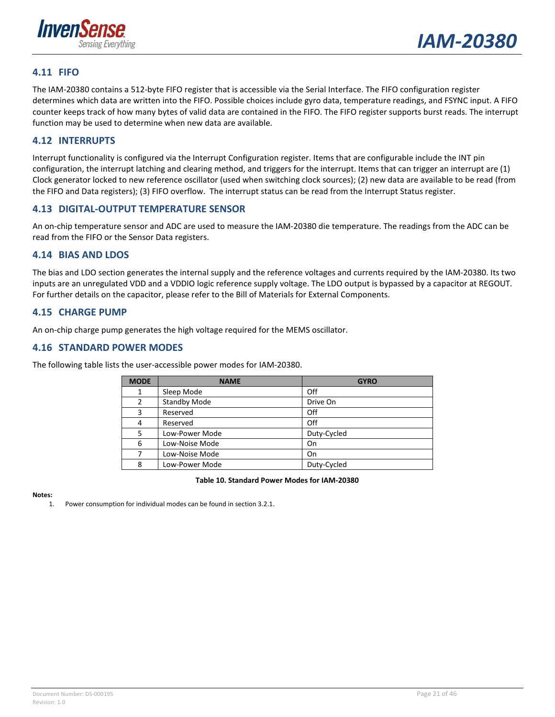

#### <span id="page-20-0"></span>**4.11 FIFO**

The IAM-20380 contains a 512-byte FIFO register that is accessible via the Serial Interface. The FIFO configuration register determines which data are written into the FIFO. Possible choices include gyro data, temperature readings, and FSYNC input. A FIFO counter keeps track of how many bytes of valid data are contained in the FIFO. The FIFO register supports burst reads. The interrupt function may be used to determine when new data are available.

#### <span id="page-20-1"></span>**4.12 INTERRUPTS**

Interrupt functionality is configured via the Interrupt Configuration register. Items that are configurable include the INT pin configuration, the interrupt latching and clearing method, and triggers for the interrupt. Items that can trigger an interrupt are (1) Clock generator locked to new reference oscillator (used when switching clock sources); (2) new data are available to be read (from the FIFO and Data registers); (3) FIFO overflow. The interrupt status can be read from the Interrupt Status register.

#### <span id="page-20-2"></span>**4.13 DIGITAL-OUTPUT TEMPERATURE SENSOR**

An on-chip temperature sensor and ADC are used to measure the IAM-20380 die temperature. The readings from the ADC can be read from the FIFO or the Sensor Data registers.

#### <span id="page-20-3"></span>**4.14 BIAS AND LDOS**

The bias and LDO section generates the internal supply and the reference voltages and currents required by the IAM-20380. Its two inputs are an unregulated VDD and a VDDIO logic reference supply voltage. The LDO output is bypassed by a capacitor at REGOUT. For further details on the capacitor, please refer to the Bill of Materials for External Components.

#### <span id="page-20-4"></span>**4.15 CHARGE PUMP**

An on-chip charge pump generates the high voltage required for the MEMS oscillator.

#### <span id="page-20-5"></span>**4.16 STANDARD POWER MODES**

The following table lists the user-accessible power modes for IAM-20380.

| <b>MODE</b> | <b>NAME</b>         | <b>GYRO</b> |
|-------------|---------------------|-------------|
| 1           | Sleep Mode          | Off         |
| 2           | <b>Standby Mode</b> | Drive On    |
| 3           | Reserved            | Off         |
| 4           | Reserved            | Off         |
| 5           | Low-Power Mode      | Duty-Cycled |
| 6           | Low-Noise Mode      | On          |
|             | Low-Noise Mode      | On          |
| 8           | Low-Power Mode      | Duty-Cycled |

#### **Table 10. Standard Power Modes for IAM-20380**

#### <span id="page-20-6"></span>**Notes:**

1. Power consumption for individual modes can be found in section [3.2.1.](#page-9-2)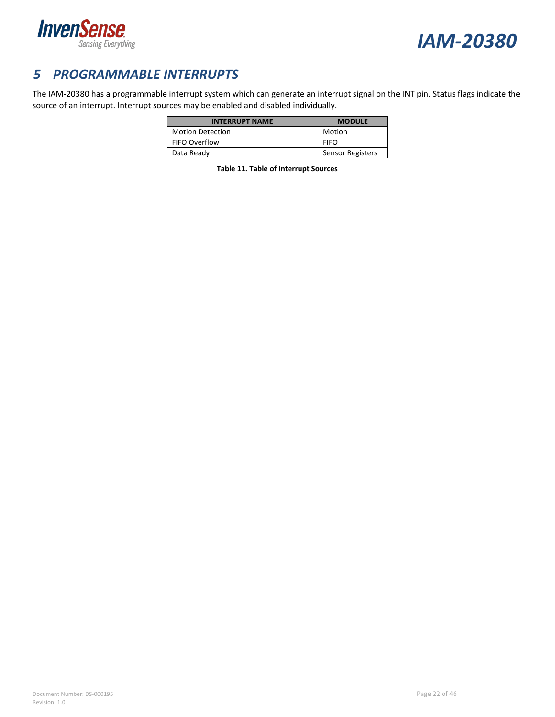



## <span id="page-21-0"></span>*5 PROGRAMMABLE INTERRUPTS*

<span id="page-21-1"></span>The IAM-20380 has a programmable interrupt system which can generate an interrupt signal on the INT pin. Status flags indicate the source of an interrupt. Interrupt sources may be enabled and disabled individually.

| <b>INTERRUPT NAME</b>   | <b>MODULE</b>           |
|-------------------------|-------------------------|
| <b>Motion Detection</b> | Motion                  |
| FIFO Overflow           | <b>FIFO</b>             |
| Data Ready              | <b>Sensor Registers</b> |

**Table 11. Table of Interrupt Sources**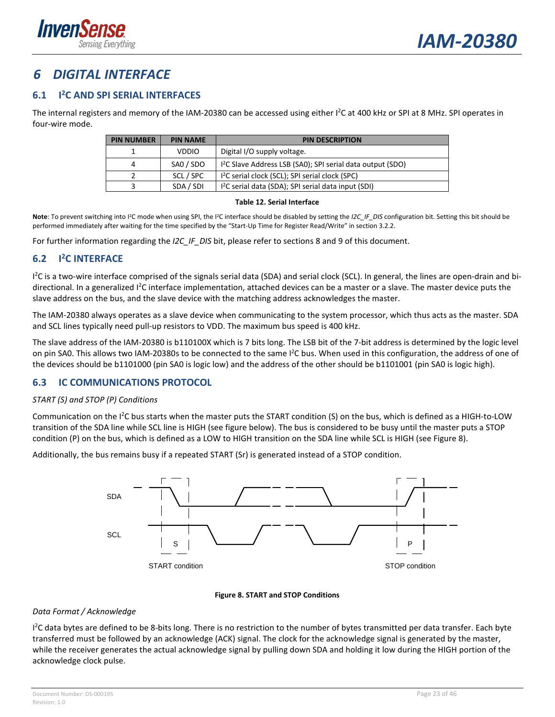

## <span id="page-22-0"></span>*6 DIGITAL INTERFACE*

#### <span id="page-22-1"></span>**6.1 I 2C AND SPI SERIAL INTERFACES**

The internal registers and memory of the IAM-20380 can be accessed using either I<sup>2</sup>C at 400 kHz or SPI at 8 MHz. SPI operates in four-wire mode.

| <b>PIN NUMBER</b> | <b>PIN DESCRIPTION</b><br><b>PIN NAME</b> |                                                                       |  |  |  |
|-------------------|-------------------------------------------|-----------------------------------------------------------------------|--|--|--|
|                   | <b>VDDIO</b>                              | Digital I/O supply voltage.                                           |  |  |  |
| 4                 | SAO / SDO                                 | <sup>12</sup> C Slave Address LSB (SA0); SPI serial data output (SDO) |  |  |  |
|                   | SCL / SPC                                 | <sup>12</sup> C serial clock (SCL); SPI serial clock (SPC)            |  |  |  |
|                   | SDA / SDI                                 | <sup>12</sup> C serial data (SDA); SPI serial data input (SDI)        |  |  |  |

#### **Table 12. Serial Interface**

<span id="page-22-5"></span>Note: To prevent switching into I<sup>2</sup>C mode when using SPI, the I<sup>2</sup>C interface should be disabled by setting the *I2C\_IF\_DIS* configuration bit. Setting this bit should be performed immediately after waiting for the time specified by the "Start-Up Time for Register Read/Write" in section [3.2.2.](#page-10-0) 

For further information regarding the *I2C\_IF\_DIS* bit, please refer to section[s 8](#page-27-0) and [9](#page-29-0) of this document.

#### <span id="page-22-2"></span>**6.2 I 2C INTERFACE**

<sup>12</sup>C is a two-wire interface comprised of the signals serial data (SDA) and serial clock (SCL). In general, the lines are open-drain and bidirectional. In a generalized l<sup>2</sup>C interface implementation, attached devices can be a master or a slave. The master device puts the slave address on the bus, and the slave device with the matching address acknowledges the master.

The IAM-20380 always operates as a slave device when communicating to the system processor, which thus acts as the master. SDA and SCL lines typically need pull-up resistors to VDD. The maximum bus speed is 400 kHz.

The slave address of the IAM-20380 is b110100X which is 7 bits long. The LSB bit of the 7-bit address is determined by the logic level on pin SA0. This allows two IAM-20380s to be connected to the same I<sup>2</sup>C bus. When used in this configuration, the address of one of the devices should be b1101000 (pin SA0 is logic low) and the address of the other should be b1101001 (pin SA0 is logic high).

#### <span id="page-22-3"></span>**6.3 IC COMMUNICATIONS PROTOCOL**

#### *START (S) and STOP (P) Conditions*

Communication on the I<sup>2</sup>C bus starts when the master puts the START condition (S) on the bus, which is defined as a HIGH-to-LOW transition of the SDA line while SCL line is HIGH (see figure below). The bus is considered to be busy until the master puts a STOP condition (P) on the bus, which is defined as a LOW to HIGH transition on the SDA line while SCL is HIGH (se[e Figure 8\)](#page-22-4).

Additionally, the bus remains busy if a repeated START (Sr) is generated instead of a STOP condition.



#### **Figure 8. START and STOP Conditions**

#### <span id="page-22-4"></span>*Data Format / Acknowledge*

<sup>12</sup>C data bytes are defined to be 8-bits long. There is no restriction to the number of bytes transmitted per data transfer. Each byte transferred must be followed by an acknowledge (ACK) signal. The clock for the acknowledge signal is generated by the master, while the receiver generates the actual acknowledge signal by pulling down SDA and holding it low during the HIGH portion of the acknowledge clock pulse.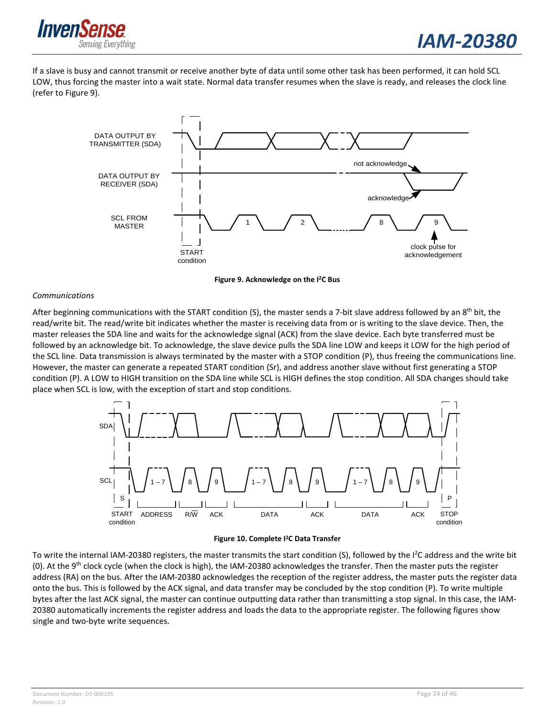

If a slave is busy and cannot transmit or receive another byte of data until some other task has been performed, it can hold SCL LOW, thus forcing the master into a wait state. Normal data transfer resumes when the slave is ready, and releases the clock line (refer to [Figure 9\)](#page-23-0).



**Figure 9. Acknowledge on the I2C Bus**

#### <span id="page-23-0"></span>*Communications*

After beginning communications with the START condition (S), the master sends a 7-bit slave address followed by an 8<sup>th</sup> bit, the read/write bit. The read/write bit indicates whether the master is receiving data from or is writing to the slave device. Then, the master releases the SDA line and waits for the acknowledge signal (ACK) from the slave device. Each byte transferred must be followed by an acknowledge bit. To acknowledge, the slave device pulls the SDA line LOW and keeps it LOW for the high period of the SCL line. Data transmission is always terminated by the master with a STOP condition (P), thus freeing the communications line. However, the master can generate a repeated START condition (Sr), and address another slave without first generating a STOP condition (P). A LOW to HIGH transition on the SDA line while SCL is HIGH defines the stop condition. All SDA changes should take place when SCL is low, with the exception of start and stop conditions.



**Figure 10. Complete I2C Data Transfer**

<span id="page-23-1"></span>To write the internal IAM-20380 registers, the master transmits the start condition (S), followed by the I<sup>2</sup>C address and the write bit (0). At the 9<sup>th</sup> clock cycle (when the clock is high), the IAM-20380 acknowledges the transfer. Then the master puts the register address (RA) on the bus. After the IAM-20380 acknowledges the reception of the register address, the master puts the register data onto the bus. This is followed by the ACK signal, and data transfer may be concluded by the stop condition (P). To write multiple bytes after the last ACK signal, the master can continue outputting data rather than transmitting a stop signal. In this case, the IAM-20380 automatically increments the register address and loads the data to the appropriate register. The following figures show single and two-byte write sequences.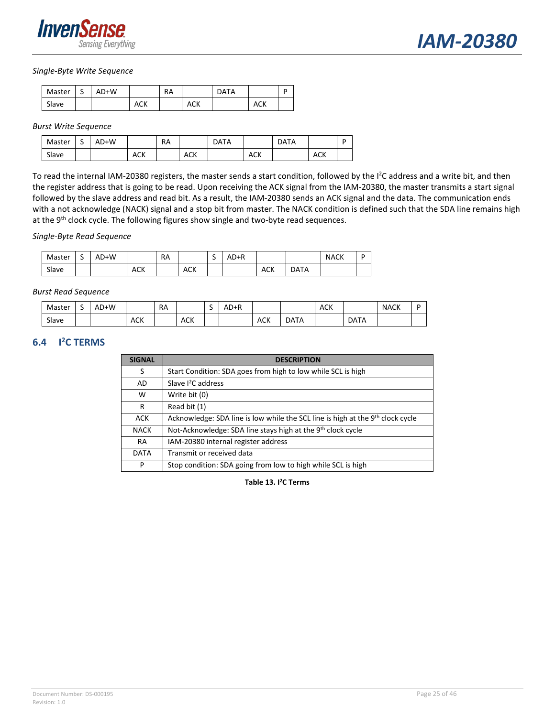

#### *Single-Byte Write Sequence*

| Master | د | AD+W |     | RA |     | <b>DATA</b> |            |  |
|--------|---|------|-----|----|-----|-------------|------------|--|
| Slave  |   |      | ACK |    | ACK |             | <b>ACK</b> |  |

#### *Burst Write Sequence*

| Master | $\overline{\phantom{0}}$<br>٠ | AD+W |            | <b>RA</b> |            | DATA |            | <b>DATA</b> |            | D |
|--------|-------------------------------|------|------------|-----------|------------|------|------------|-------------|------------|---|
| Slave  |                               |      | <b>ACK</b> |           | <b>ACK</b> |      | <b>ACK</b> |             | <b>ACK</b> |   |

To read the internal IAM-20380 registers, the master sends a start condition, followed by the I<sup>2</sup>C address and a write bit, and then the register address that is going to be read. Upon receiving the ACK signal from the IAM-20380, the master transmits a start signal followed by the slave address and read bit. As a result, the IAM-20380 sends an ACK signal and the data. The communication ends with a not acknowledge (NACK) signal and a stop bit from master. The NACK condition is defined such that the SDA line remains high at the 9<sup>th</sup> clock cycle. The following figures show single and two-byte read sequences.

#### *Single-Byte Read Sequence*

| Master | -<br>◡ | AD+W |            | RA |            | -<br>ے | $AD+R$ |            |             | <b>NACK</b> | D |
|--------|--------|------|------------|----|------------|--------|--------|------------|-------------|-------------|---|
| Slave  |        |      | <b>ACK</b> |    | <b>ACK</b> |        |        | <b>ACK</b> | <b>DATA</b> |             |   |

#### *Burst Read Sequence*

| Master | ◡ | AD+W |            | <b>RA</b> |            | - | AD+R |            |             | <b>ACK</b> |             | <b>NACK</b> |  |
|--------|---|------|------------|-----------|------------|---|------|------------|-------------|------------|-------------|-------------|--|
| Slave  |   |      | <b>ACK</b> |           | <b>ACK</b> |   |      | <b>ACK</b> | <b>DATA</b> |            | <b>DATA</b> |             |  |

#### <span id="page-24-1"></span><span id="page-24-0"></span>**6.4 I 2C TERMS**

| <b>SIGNAL</b> | <b>DESCRIPTION</b>                                                                         |
|---------------|--------------------------------------------------------------------------------------------|
| S             | Start Condition: SDA goes from high to low while SCL is high                               |
| AD            | Slave <sup>2</sup> C address                                                               |
| w             | Write bit (0)                                                                              |
| R             | Read bit (1)                                                                               |
| <b>ACK</b>    | Acknowledge: SDA line is low while the SCL line is high at the 9 <sup>th</sup> clock cycle |
| <b>NACK</b>   | Not-Acknowledge: SDA line stays high at the 9 <sup>th</sup> clock cycle                    |
| <b>RA</b>     | IAM-20380 internal register address                                                        |
| <b>DATA</b>   | Transmit or received data                                                                  |
| P             | Stop condition: SDA going from low to high while SCL is high                               |

**Table 13. I 2C Terms**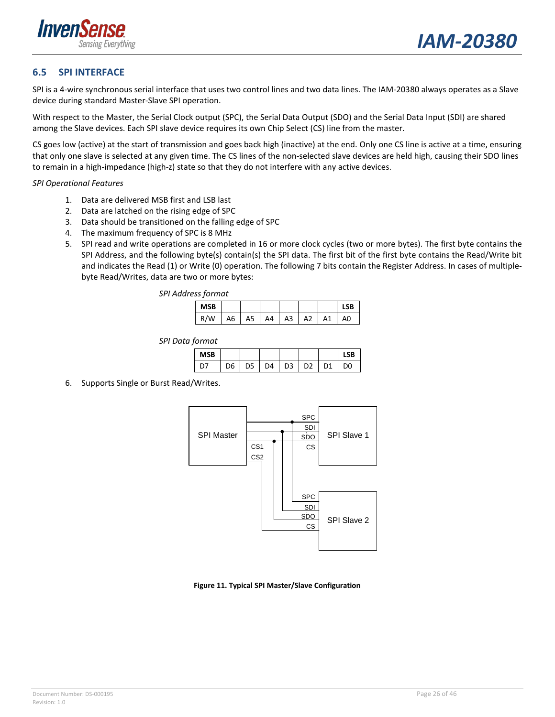

#### <span id="page-25-0"></span>**6.5 SPI INTERFACE**

SPI is a 4-wire synchronous serial interface that uses two control lines and two data lines. The IAM-20380 always operates as a Slave device during standard Master-Slave SPI operation.

With respect to the Master, the Serial Clock output (SPC), the Serial Data Output (SDO) and the Serial Data Input (SDI) are shared among the Slave devices. Each SPI slave device requires its own Chip Select (CS) line from the master.

CS goes low (active) at the start of transmission and goes back high (inactive) at the end. Only one CS line is active at a time, ensuring that only one slave is selected at any given time. The CS lines of the non-selected slave devices are held high, causing their SDO lines to remain in a high-impedance (high-z) state so that they do not interfere with any active devices.

#### *SPI Operational Features*

- 1. Data are delivered MSB first and LSB last
- 2. Data are latched on the rising edge of SPC
- 3. Data should be transitioned on the falling edge of SPC
- 4. The maximum frequency of SPC is 8 MHz
- 5. SPI read and write operations are completed in 16 or more clock cycles (two or more bytes). The first byte contains the SPI Address, and the following byte(s) contain(s) the SPI data. The first bit of the first byte contains the Read/Write bit and indicates the Read (1) or Write (0) operation. The following 7 bits contain the Register Address. In cases of multiplebyte Read/Writes, data are two or more bytes:

| . .        |    |    |    |    |    |    |    |
|------------|----|----|----|----|----|----|----|
| <b>MSB</b> |    |    |    |    |    |    |    |
|            | А6 | A5 | A4 | A3 | A2 | Α1 | A0 |

*SPI Data format*

| <b>MSB</b> |    |    |    |  |                |
|------------|----|----|----|--|----------------|
|            | טע | DΔ | D3 |  | D <sub>0</sub> |

6. Supports Single or Burst Read/Writes.



#### <span id="page-25-1"></span>**Figure 11. Typical SPI Master/Slave Configuration**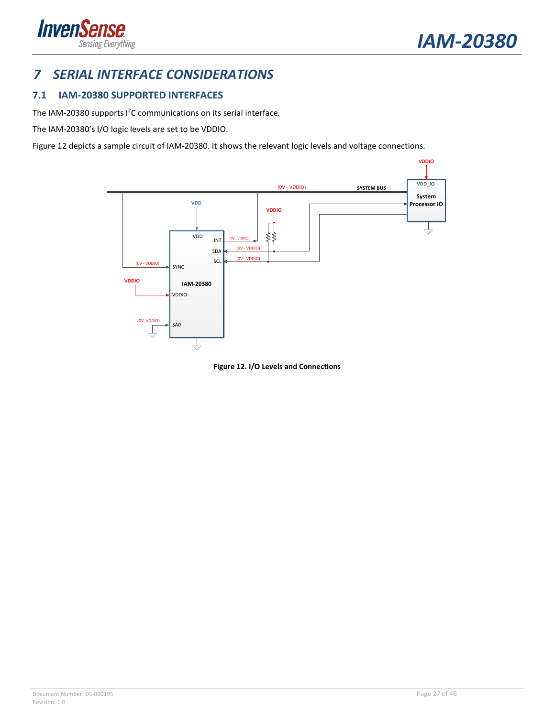

## <span id="page-26-0"></span>*7 SERIAL INTERFACE CONSIDERATIONS*

### <span id="page-26-1"></span>**7.1 IAM-20380 SUPPORTED INTERFACES**

The IAM-20380 supports I2 C communications on its serial interface**.**

The IAM-20380's I/O logic levels are set to be VDDIO.

[Figure 12](#page-26-2) depicts a sample circuit of IAM-20380. It shows the relevant logic levels and voltage connections.



<span id="page-26-2"></span>**Figure 12. I/O Levels and Connections**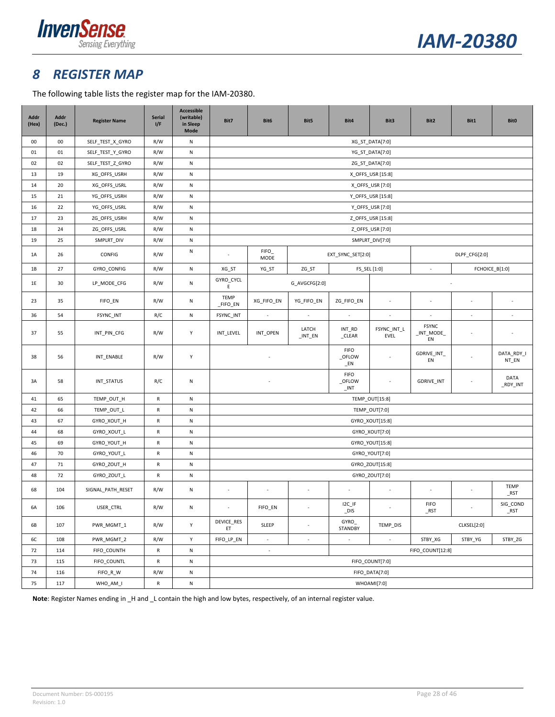



### <span id="page-27-0"></span>*8 REGISTER MAP*

The following table lists the register map for the IAM-20380.

| Addr<br>(Hex) | Addr<br>(Dec.) | <b>Register Name</b> | <b>Serial</b><br>I/F | <b>Accessible</b><br>(writable)<br>in Sleep<br><b>Mode</b> | Bit7                    | Bit6                                                              | Bit5                     | Bit4                     | Bit3                     | Bit2                             | Bit1                     | <b>Bit0</b>              |
|---------------|----------------|----------------------|----------------------|------------------------------------------------------------|-------------------------|-------------------------------------------------------------------|--------------------------|--------------------------|--------------------------|----------------------------------|--------------------------|--------------------------|
| $00\,$        | 00             | SELF_TEST_X_GYRO     | R/W                  | N                                                          |                         |                                                                   |                          |                          | XG_ST_DATA[7:0]          |                                  |                          |                          |
| 01            | 01             | SELF_TEST_Y_GYRO     | R/W                  | ${\sf N}$                                                  |                         |                                                                   |                          |                          | YG_ST_DATA[7:0]          |                                  |                          |                          |
| $02\,$        | 02             | SELF_TEST_Z_GYRO     | R/W                  | ${\sf N}$                                                  |                         |                                                                   |                          |                          | ZG_ST_DATA[7:0]          |                                  |                          |                          |
| 13            | 19             | XG_OFFS_USRH         | R/W                  | N                                                          |                         |                                                                   |                          |                          | X_OFFS_USR [15:8]        |                                  |                          |                          |
| 14            | 20             | XG_OFFS_USRL         | R/W                  | ${\sf N}$                                                  |                         |                                                                   |                          |                          | X_OFFS_USR [7:0]         |                                  |                          |                          |
| 15            | 21             | YG_OFFS_USRH         | R/W                  | ${\sf N}$                                                  |                         |                                                                   |                          |                          | Y_OFFS_USR [15:8]        |                                  |                          |                          |
| 16            | 22             | YG_OFFS_USRL         | R/W                  | ${\sf N}$                                                  |                         |                                                                   |                          |                          | Y_OFFS_USR [7:0]         |                                  |                          |                          |
| 17            | 23             | ZG_OFFS_USRH         | R/W                  | ${\sf N}$                                                  |                         |                                                                   |                          |                          | Z_OFFS_USR [15:8]        |                                  |                          |                          |
| 18            | 24             | ZG_OFFS_USRL         | R/W                  | ${\sf N}$                                                  |                         |                                                                   |                          |                          | Z_OFFS_USR [7:0]         |                                  |                          |                          |
| 19            | 25             | SMPLRT_DIV           | R/W                  | ${\sf N}$                                                  |                         |                                                                   |                          |                          | SMPLRT_DIV[7:0]          |                                  |                          |                          |
| 1A            | 26             | CONFIG               | R/W                  | ${\sf N}$                                                  |                         | <b>FIFO</b><br>MODE                                               |                          | EXT_SYNC_SET[2:0]        |                          |                                  | DLPF_CFG[2:0]            |                          |
| 1B            | 27             | GYRO_CONFIG          | R/W                  | ${\sf N}$                                                  | XG_ST                   | YG_ST                                                             | ZG_ST                    | FS_SEL [1:0]             |                          | $\mathbb{Z}^2$                   |                          | FCHOICE_B[1:0]           |
| 1E            | 30             | LP_MODE_CFG          | R/W                  | ${\sf N}$                                                  | GYRO_CYCL<br>E          |                                                                   | G_AVGCFG[2:0]            |                          |                          |                                  |                          |                          |
| 23            | 35             | FIFO_EN              | R/W                  | ${\sf N}$                                                  | <b>TEMP</b><br>_FIFO_EN | XG_FIFO_EN                                                        | YG_FIFO_EN               | ZG_FIFO_EN               | ×.                       |                                  |                          |                          |
| 36            | 54             | FSYNC_INT            | R/C                  | ${\sf N}$                                                  | FSYNC_INT               | $\sim$                                                            | $\sim$                   | $\overline{\phantom{a}}$ | $\overline{\phantom{a}}$ | $\overline{\phantom{a}}$         | $\overline{\phantom{a}}$ | $\overline{\phantom{a}}$ |
| 37            | 55             | INT_PIN_CFG          | R/W                  | Y                                                          | INT_LEVEL               | INT_OPEN                                                          | LATCH<br>$\_INT\_EN$     | INT_RD<br>_CLEAR         | FSYNC_INT_L<br>EVEL      | <b>FSYNC</b><br>$INT_MODE$<br>EN | ٠                        | ٠                        |
| 38            | 56             | INT_ENABLE           | R/W                  | Y                                                          |                         | <b>FIFO</b><br>_OFLOW<br>$E$ N                                    |                          |                          | GDRIVE_INT_<br>EN        |                                  | DATA_RDY_I<br>NT_EN      |                          |
| 3A            | 58             | INT_STATUS           | R/C                  | ${\sf N}$                                                  |                         | <b>FIFO</b><br>_OFLOW<br>$\_INT$                                  |                          |                          | GDRIVE_INT               |                                  | DATA<br>_RDY_INT         |                          |
| 41            | 65             | TEMP_OUT_H           | R                    | ${\sf N}$                                                  | TEMP_OUT[15:8]          |                                                                   |                          |                          |                          |                                  |                          |                          |
| 42            | 66             | TEMP_OUT_L           | R                    | ${\sf N}$                                                  |                         |                                                                   |                          |                          | TEMP_OUT[7:0]            |                                  |                          |                          |
| 43            | 67             | GYRO_XOUT_H          | ${\sf R}$            | ${\sf N}$                                                  |                         |                                                                   |                          |                          | GYRO_XOUT[15:8]          |                                  |                          |                          |
| 44            | 68             | GYRO_XOUT_L          | ${\sf R}$            | ${\sf N}$                                                  |                         |                                                                   |                          |                          | GYRO_XOUT[7:0]           |                                  |                          |                          |
| 45            | 69             | GYRO_YOUT_H          | ${\sf R}$            | ${\sf N}$                                                  |                         |                                                                   |                          |                          | GYRO_YOUT[15:8]          |                                  |                          |                          |
| 46            | 70             | GYRO_YOUT_L          | $\mathsf{R}$         | ${\sf N}$                                                  |                         |                                                                   |                          |                          | GYRO_YOUT[7:0]           |                                  |                          |                          |
| 47            | $71\,$         | GYRO_ZOUT_H          | R                    | ${\sf N}$                                                  | GYRO_ZOUT[15:8]         |                                                                   |                          |                          |                          |                                  |                          |                          |
| 48            | 72             | GYRO_ZOUT_L          | R                    | ${\sf N}$                                                  |                         |                                                                   |                          |                          | GYRO_ZOUT[7:0]           |                                  |                          |                          |
| 68            | 104            | SIGNAL_PATH_RESET    | R/W                  | ${\sf N}$                                                  | $\sim$                  | $\sim$                                                            | $\overline{\phantom{a}}$ | ٠                        | $\sim$                   | $\sim$                           | $\sim$                   | <b>TEMP</b><br>$\_RST$   |
| 6A            | 106            | USER_CTRL            | R/W                  | ${\sf N}$                                                  |                         | FIFO_EN                                                           |                          | $IC_I$<br>DIS            |                          | <b>FIFO</b><br><b>RST</b>        |                          | SIG_COND<br><b>RST</b>   |
| 6B            | 107            | PWR_MGMT_1           | R/W                  | Υ                                                          | DEVICE_RES<br>ET        | GYRO_<br>SLEEP<br>TEMP_DIS<br>$\overline{\phantom{a}}$<br>STANDBY |                          |                          | CLKSEL[2:0]              |                                  |                          |                          |
| 6C            | 108            | PWR_MGMT_2           | R/W                  | Υ                                                          | $FIFO\_LP\_EN$          | ÷.                                                                | $\overline{\phantom{a}}$ | ÷,                       | $\sim$                   | STBY_XG                          | STBY_YG                  | STBY_ZG                  |
| 72            | 114            | FIFO_COUNTH          | R                    | ${\sf N}$                                                  |                         | ÷                                                                 |                          |                          |                          | FIFO_COUNT[12:8]                 |                          |                          |
| 73            | 115            | FIFO_COUNTL          | ${\sf R}$            | ${\sf N}$                                                  |                         |                                                                   |                          |                          | FIFO_COUNT[7:0]          |                                  |                          |                          |
| 74            | 116            | $FIFO_R_W$           | R/W                  | ${\sf N}$                                                  |                         |                                                                   |                          |                          | FIFO_DATA[7:0]           |                                  |                          |                          |
| 75            | 117            | WHO_AM_I             | R                    | ${\sf N}$                                                  | WHOAMI[7:0]             |                                                                   |                          |                          |                          |                                  |                          |                          |

**Note**: Register Names ending in \_H and \_L contain the high and low bytes, respectively, of an internal register value.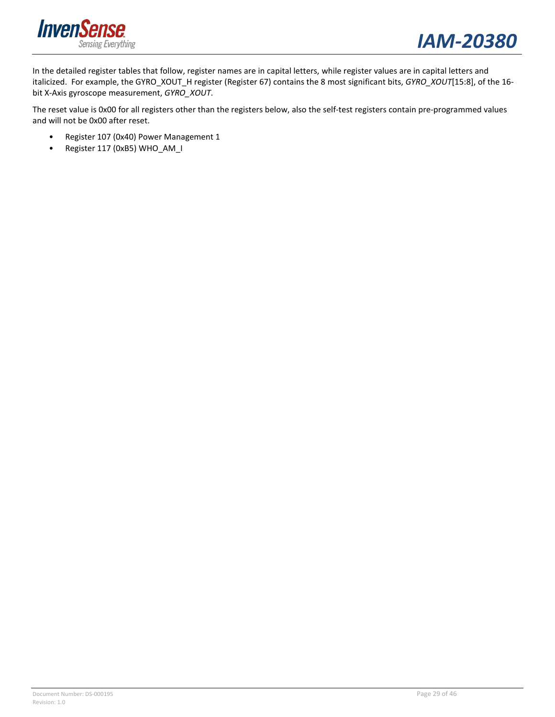



In the detailed register tables that follow, register names are in capital letters, while register values are in capital letters and italicized. For example, the GYRO\_XOUT\_H register (Register 67) contains the 8 most significant bits, *GYRO\_XOUT*[15:8], of the 16 bit X-Axis gyroscope measurement, *GYRO\_XOUT*.

The reset value is 0x00 for all registers other than the registers below, also the self-test registers contain pre-programmed values and will not be 0x00 after reset.

- Register 107 (0x40) Power Management 1
- Register 117 (0xB5) WHO\_AM\_I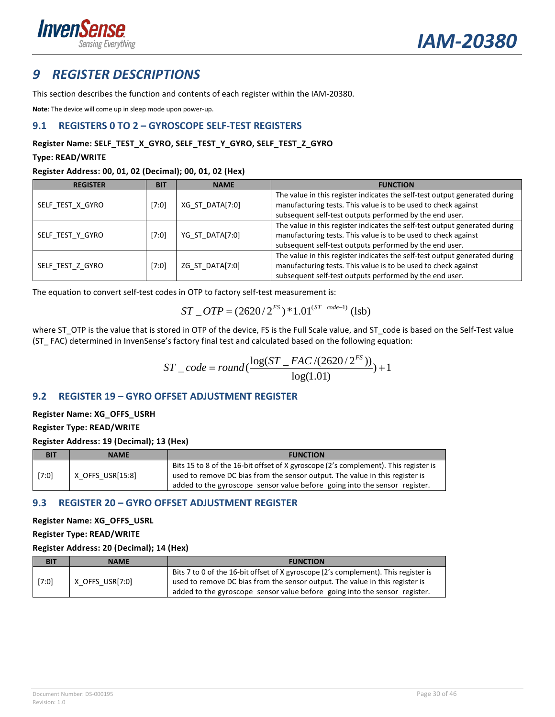

### <span id="page-29-0"></span>*9 REGISTER DESCRIPTIONS*

This section describes the function and contents of each register within the IAM-20380.

**Note**: The device will come up in sleep mode upon power-up.

#### <span id="page-29-1"></span>**9.1 REGISTERS 0 TO 2 – GYROSCOPE SELF-TEST REGISTERS**

#### **Register Name: SELF\_TEST\_X\_GYRO, SELF\_TEST\_Y\_GYRO, SELF\_TEST\_Z\_GYRO**

#### **Type: READ/WRITE**

#### **Register Address: 00, 01, 02 (Decimal); 00, 01, 02 (Hex)**

| <b>REGISTER</b>  | <b>BIT</b> | <b>NAME</b>     | <b>FUNCTION</b>                                                            |
|------------------|------------|-----------------|----------------------------------------------------------------------------|
|                  |            |                 | The value in this register indicates the self-test output generated during |
| SELF TEST X GYRO | [7:0]      | XG ST DATA[7:0] | manufacturing tests. This value is to be used to check against             |
|                  |            |                 | subsequent self-test outputs performed by the end user.                    |
|                  |            |                 | The value in this register indicates the self-test output generated during |
| SELF TEST Y GYRO | [7:0]      | YG_ST_DATA[7:0] | manufacturing tests. This value is to be used to check against             |
|                  |            |                 | subsequent self-test outputs performed by the end user.                    |
|                  |            |                 | The value in this register indicates the self-test output generated during |
| SELF TEST Z GYRO | [7:0]      | ZG ST DATA[7:0] | manufacturing tests. This value is to be used to check against             |
|                  |            |                 | subsequent self-test outputs performed by the end user.                    |

The equation to convert self-test codes in OTP to factory self-test measurement is:

$$
ST\_OTP = (2620/2^{FS}) * 1.01^{(ST\_code-1)} \text{ (lsb)}
$$

where ST\_OTP is the value that is stored in OTP of the device, FS is the Full Scale value, and ST\_code is based on the Self-Test value (ST\_ FAC) determined in InvenSense's factory final test and calculated based on the following equation:

$$
ST\_code = round(\frac{\log(ST\_FAC/(2620/2^{FS}))}{\log(1.01)}) + 1
$$

### <span id="page-29-2"></span>**9.2 REGISTER 19 – GYRO OFFSET ADJUSTMENT REGISTER**

#### **Register Name: XG\_OFFS\_USRH Register Type: READ/WRITE**

**Register Address: 19 (Decimal); 13 (Hex)**

| BIT   | <b>NAME</b>      | <b>FUNCTION</b>                                                                                                                                                                                                                                   |
|-------|------------------|---------------------------------------------------------------------------------------------------------------------------------------------------------------------------------------------------------------------------------------------------|
| [7:0] | X OFFS USR[15:8] | Bits 15 to 8 of the 16-bit offset of X gyroscope (2's complement). This register is<br>used to remove DC bias from the sensor output. The value in this register is<br>added to the gyroscope sensor value before going into the sensor register. |

### <span id="page-29-3"></span>**9.3 REGISTER 20 – GYRO OFFSET ADJUSTMENT REGISTER**

**Register Name: XG\_OFFS\_USRL**

**Register Type: READ/WRITE**

#### **Register Address: 20 (Decimal); 14 (Hex)**

| <b>BIT</b> | <b>NAME</b>     | <b>FUNCTION</b>                                                                                                                                                    |
|------------|-----------------|--------------------------------------------------------------------------------------------------------------------------------------------------------------------|
| [7:0]      | X OFFS USR[7:0] | Bits 7 to 0 of the 16-bit offset of X gyroscope (2's complement). This register is<br>used to remove DC bias from the sensor output. The value in this register is |
|            |                 | added to the gyroscope sensor value before going into the sensor register.                                                                                         |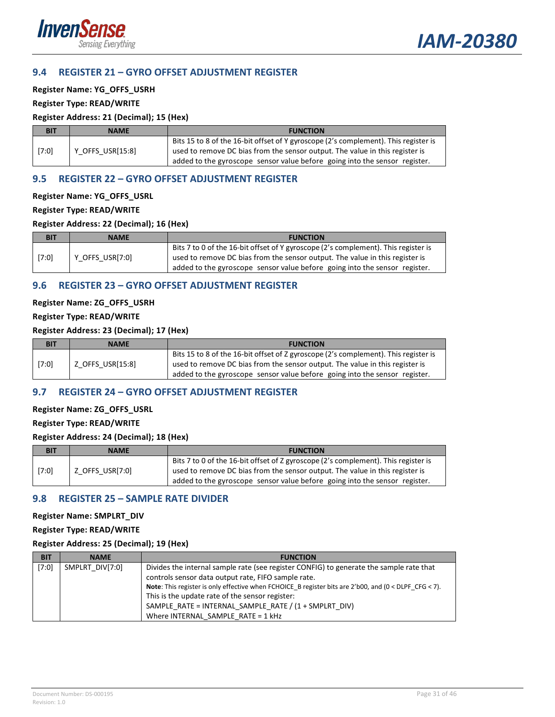

#### <span id="page-30-0"></span>**9.4 REGISTER 21 – GYRO OFFSET ADJUSTMENT REGISTER**

**Register Name: YG\_OFFS\_USRH**

#### **Register Type: READ/WRITE**

#### **Register Address: 21 (Decimal); 15 (Hex)**

| BIT   | <b>NAME</b>      | <b>FUNCTION</b>                                                                                                                                                                                                                                   |
|-------|------------------|---------------------------------------------------------------------------------------------------------------------------------------------------------------------------------------------------------------------------------------------------|
| [7:0] | Y OFFS USR[15:8] | Bits 15 to 8 of the 16-bit offset of Y gyroscope (2's complement). This register is<br>used to remove DC bias from the sensor output. The value in this register is<br>added to the gyroscope sensor value before going into the sensor register. |

#### <span id="page-30-1"></span>**9.5 REGISTER 22 – GYRO OFFSET ADJUSTMENT REGISTER**

#### **Register Name: YG\_OFFS\_USRL**

#### **Register Type: READ/WRITE**

#### **Register Address: 22 (Decimal); 16 (Hex)**

| <b>BIT</b> | <b>NAME</b>     | <b>FUNCTION</b>                                                                                                                                                                                                                                  |
|------------|-----------------|--------------------------------------------------------------------------------------------------------------------------------------------------------------------------------------------------------------------------------------------------|
| [7:0]      | Y OFFS USR[7:0] | Bits 7 to 0 of the 16-bit offset of Y gyroscope (2's complement). This register is<br>used to remove DC bias from the sensor output. The value in this register is<br>added to the gyroscope sensor value before going into the sensor register. |

#### <span id="page-30-2"></span>**9.6 REGISTER 23 – GYRO OFFSET ADJUSTMENT REGISTER**

#### **Register Name: ZG\_OFFS\_USRH**

#### **Register Type: READ/WRITE**

#### **Register Address: 23 (Decimal); 17 (Hex)**

| <b>BIT</b> | <b>NAME</b>      | <b>FUNCTION</b>                                                                                                                                                                                                                                   |
|------------|------------------|---------------------------------------------------------------------------------------------------------------------------------------------------------------------------------------------------------------------------------------------------|
| [7:0]      | Z OFFS USR[15:8] | Bits 15 to 8 of the 16-bit offset of Z gyroscope (2's complement). This register is<br>used to remove DC bias from the sensor output. The value in this register is<br>added to the gyroscope sensor value before going into the sensor register. |

#### <span id="page-30-3"></span>**9.7 REGISTER 24 – GYRO OFFSET ADJUSTMENT REGISTER**

#### **Register Name: ZG\_OFFS\_USRL**

#### **Register Type: READ/WRITE**

#### **Register Address: 24 (Decimal); 18 (Hex)**

| <b>BIT</b> | <b>NAME</b>     | <b>FUNCTION</b>                                                                                                                                                                                                                                  |
|------------|-----------------|--------------------------------------------------------------------------------------------------------------------------------------------------------------------------------------------------------------------------------------------------|
| [7:0]      | Z OFFS USR[7:0] | Bits 7 to 0 of the 16-bit offset of Z gyroscope (2's complement). This register is<br>used to remove DC bias from the sensor output. The value in this register is<br>added to the gyroscope sensor value before going into the sensor register. |

#### <span id="page-30-4"></span>**9.8 REGISTER 25 – SAMPLE RATE DIVIDER**

#### **Register Name: SMPLRT\_DIV**

**Register Type: READ/WRITE**

#### **Register Address: 25 (Decimal); 19 (Hex)**

| <b>BIT</b> | <b>NAME</b>     | <b>FUNCTION</b>                                                                                                |
|------------|-----------------|----------------------------------------------------------------------------------------------------------------|
| [7:0]      | SMPLRT DIV[7:0] | Divides the internal sample rate (see register CONFIG) to generate the sample rate that                        |
|            |                 | controls sensor data output rate, FIFO sample rate.                                                            |
|            |                 | <b>Note:</b> This register is only effective when FCHOICE B register bits are 2'b00, and $(0 <$ DLPF CFG < 7). |
|            |                 | This is the update rate of the sensor register:                                                                |
|            |                 | SAMPLE RATE = INTERNAL SAMPLE RATE / (1 + SMPLRT DIV)                                                          |
|            |                 | Where INTERNAL SAMPLE RATE = 1 kHz                                                                             |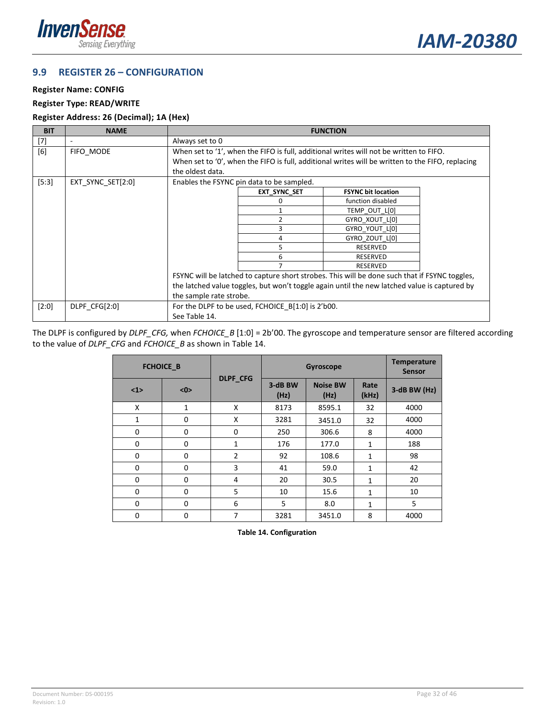



#### <span id="page-31-0"></span>**9.9 REGISTER 26 – CONFIGURATION**

#### **Register Name: CONFIG**

#### **Register Type: READ/WRITE**

#### **Register Address: 26 (Decimal); 1A (Hex)**

| <b>BIT</b> | <b>NAME</b>       | <b>FUNCTION</b>         |                                                                                        |                                                                                                  |  |  |
|------------|-------------------|-------------------------|----------------------------------------------------------------------------------------|--------------------------------------------------------------------------------------------------|--|--|
| $[7]$      | ۰                 | Always set to 0         |                                                                                        |                                                                                                  |  |  |
| [6]        | FIFO MODE         |                         | When set to '1', when the FIFO is full, additional writes will not be written to FIFO. |                                                                                                  |  |  |
|            |                   |                         |                                                                                        | When set to '0', when the FIFO is full, additional writes will be written to the FIFO, replacing |  |  |
|            |                   | the oldest data.        |                                                                                        |                                                                                                  |  |  |
| $[5:3]$    | EXT SYNC SET[2:0] |                         | Enables the FSYNC pin data to be sampled.                                              |                                                                                                  |  |  |
|            |                   |                         | <b>EXT SYNC SET</b>                                                                    | <b>FSYNC bit location</b>                                                                        |  |  |
|            |                   |                         | U                                                                                      | function disabled                                                                                |  |  |
|            |                   |                         |                                                                                        | TEMP OUT L[0]                                                                                    |  |  |
|            |                   |                         |                                                                                        | GYRO XOUT L[0]                                                                                   |  |  |
|            |                   |                         | 3                                                                                      | GYRO YOUT L[0]                                                                                   |  |  |
|            |                   |                         | 4                                                                                      | GYRO ZOUT L[0]                                                                                   |  |  |
|            |                   |                         | 5                                                                                      | <b>RESERVED</b>                                                                                  |  |  |
|            |                   |                         | 6                                                                                      | <b>RESERVED</b>                                                                                  |  |  |
|            |                   |                         |                                                                                        | <b>RESERVED</b>                                                                                  |  |  |
|            |                   |                         |                                                                                        | FSYNC will be latched to capture short strobes. This will be done such that if FSYNC toggles,    |  |  |
|            |                   |                         |                                                                                        | the latched value toggles, but won't toggle again until the new latched value is captured by     |  |  |
|            |                   | the sample rate strobe. |                                                                                        |                                                                                                  |  |  |
| $[2:0]$    | DLPF CFG[2:0]     |                         | For the DLPF to be used, FCHOICE $B[1:0]$ is 2'b00.                                    |                                                                                                  |  |  |
|            |                   | See Table 14.           |                                                                                        |                                                                                                  |  |  |

The DLPF is configured by *DLPF\_CFG,* when *FCHOICE\_B* [1:0] = 2b'00. The gyroscope and temperature sensor are filtered according to the value of *DLPF\_CFG* and *FCHOICE\_B* as shown in [Table 14.](#page-31-1)

<span id="page-31-1"></span>

|             | <b>FCHOICE B</b> |                 | Gyroscope       |                         |               | <b>Temperature</b><br><b>Sensor</b> |
|-------------|------------------|-----------------|-----------------|-------------------------|---------------|-------------------------------------|
| $1$         | $<$ 0>           | <b>DLPF CFG</b> | 3-dB BW<br>(Hz) | <b>Noise BW</b><br>(Hz) | Rate<br>(kHz) | 3-dB BW (Hz)                        |
| X           | 1                | X               | 8173            | 8595.1                  | 32            | 4000                                |
| 1           | $\mathbf 0$      | X               | 3281            | 3451.0                  | 32            | 4000                                |
| 0           | $\mathbf 0$      | 0               | 250             | 306.6                   | 8             | 4000                                |
| $\mathbf 0$ | $\mathbf 0$      | 1               | 176             | 177.0                   | $\mathbf{1}$  | 188                                 |
| 0           | $\mathbf 0$      | $\overline{2}$  | 92              | 108.6                   | $\mathbf{1}$  | 98                                  |
| $\Omega$    | $\mathbf 0$      | 3               | 41              | 59.0                    | 1             | 42                                  |
| $\Omega$    | $\mathbf 0$      | 4               | 20              | 30.5                    | $\mathbf{1}$  | 20                                  |
| $\mathbf 0$ | $\mathbf 0$      | 5               | 10              | 15.6                    | 1             | 10                                  |
| $\mathbf 0$ | $\mathbf 0$      | 6               | 5               | 8.0                     | 1             | 5                                   |
| $\mathbf 0$ | $\mathbf 0$      | 7               | 3281            | 3451.0                  | 8             | 4000                                |

**Table 14. Configuration**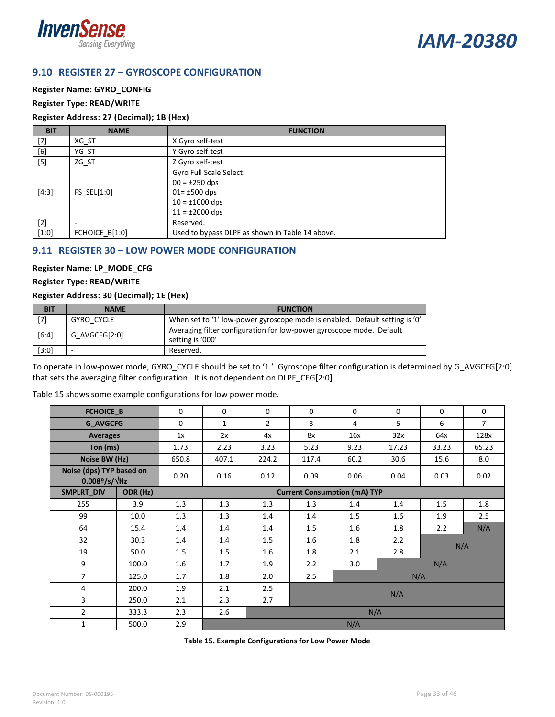



### <span id="page-32-0"></span>**9.10 REGISTER 27 – GYROSCOPE CONFIGURATION**

#### **Register Name: GYRO\_CONFIG**

#### **Register Type: READ/WRITE**

#### **Register Address: 27 (Decimal); 1B (Hex)**

| <b>BIT</b> | <b>NAME</b>              | <b>FUNCTION</b>                                                  |
|------------|--------------------------|------------------------------------------------------------------|
| $[7]$      | XG ST                    | X Gyro self-test                                                 |
| [6]        | YG_ST                    | Y Gyro self-test                                                 |
| $[5]$      | ZG_ST                    | Z Gyro self-test                                                 |
|            |                          | Gyro Full Scale Select:<br>$00 = \pm 250$ dps                    |
| $[4:3]$    | FS SEL $[1:0]$           | $01 = \pm 500$ dps<br>$10 = \pm 1000$ dps<br>$11 = \pm 2000$ dps |
| $[2]$      | $\overline{\phantom{a}}$ | Reserved.                                                        |
| $[1:0]$    | FCHOICE B[1:0]           | Used to bypass DLPF as shown in Table 14 above.                  |

#### <span id="page-32-1"></span>**9.11 REGISTER 30 – LOW POWER MODE CONFIGURATION**

#### **Register Name: LP\_MODE\_CFG**

#### **Register Type: READ/WRITE**

#### **Register Address: 30 (Decimal); 1E (Hex)**

| <b>BIT</b> | <b>NAME</b>   | <b>FUNCTION</b>                                                                          |
|------------|---------------|------------------------------------------------------------------------------------------|
| [7]        | GYRO CYCLE    | When set to '1' low-power gyroscope mode is enabled. Default setting is '0'              |
| $[6:4]$    | G AVGCFG[2:0] | Averaging filter configuration for low-power gyroscope mode. Default<br>setting is '000' |
| [3:0]      |               | Reserved.                                                                                |

To operate in low-power mode, GYRO\_CYCLE should be set to '1.' Gyroscope filter configuration is determined by G\_AVGCFG[2:0] that sets the averaging filter configuration. It is not dependent on DLPF\_CFG[2:0].

| Table 15 shows some example configurations for low power mode. |  |  |
|----------------------------------------------------------------|--|--|
|----------------------------------------------------------------|--|--|

| FCHOICE_B                                                        |       | $\mathbf 0$ | $\mathbf 0$ | $\mathbf 0$    | $\mathbf 0$ | $\mathbf 0$                         | 0     | $\mathbf 0$ | $\mathbf 0$    |
|------------------------------------------------------------------|-------|-------------|-------------|----------------|-------------|-------------------------------------|-------|-------------|----------------|
| <b>G AVGCFG</b>                                                  |       | $\Omega$    | 1           | $\overline{2}$ | 3           | 4                                   | 5     | 6           | $\overline{7}$ |
| <b>Averages</b>                                                  |       | 1x          | 2x          | 4x             | 8x          | 16x                                 | 32x   | 64x         | 128x           |
| Ton (ms)                                                         |       | 1.73        | 2.23        | 3.23           | 5.23        | 9.23                                | 17.23 | 33.23       | 65.23          |
| Noise BW (Hz)                                                    |       | 650.8       | 407.1       | 224.2          | 117.4       | 60.2                                | 30.6  | 15.6        | 8.0            |
| Noise (dps) TYP based on<br>$0.008$ <sup>2</sup> /s/ $\sqrt{Hz}$ |       | 0.20        | 0.16        | 0.12           | 0.09        | 0.06                                | 0.04  | 0.03        | 0.02           |
| ODR (Hz)<br>SMPLRT_DIV                                           |       |             |             |                |             | <b>Current Consumption (mA) TYP</b> |       |             |                |
| 255                                                              | 3.9   | 1.3         | 1.3         | 1.3            | 1.3         | 1.4                                 | 1.4   | 1.5         | 1.8            |
| 99                                                               | 10.0  | 1.3         | 1.3         | 1.4            | 1.4         | 1.5                                 | 1.6   | 1.9         | 2.5            |
| 64                                                               | 15.4  | 1.4         | 1.4         | 1.4            | 1.5         | 1.6                                 | 1.8   | 2.2         | N/A            |
| 32                                                               | 30.3  | 1.4         | 1.4         | 1.5            | 1.6         | 1.8                                 | 2.2   | N/A         |                |
| 19                                                               | 50.0  | 1.5         | 1.5         | 1.6            | 1.8         | 2.1                                 | 2.8   |             |                |
| 9                                                                | 100.0 | 1.6         | 1.7         | 1.9            | 2.2         | 3.0                                 |       | N/A         |                |
| $\overline{7}$                                                   | 125.0 | 1.7         | 1.8         | 2.0            | 2.5         |                                     | N/A   |             |                |
| 4                                                                | 200.0 | 1.9         | 2.1         | 2.5            |             |                                     |       |             |                |
| 3                                                                | 250.0 | 2.1         | 2.3         | 2.7            | N/A         |                                     |       |             |                |
| $\overline{2}$                                                   | 333.3 | 2.3         | 2.6         |                |             | N/A                                 |       |             |                |
| 1<br>500.0                                                       |       | 2.9         |             |                |             | N/A                                 |       |             |                |

<span id="page-32-2"></span>**Table 15. Example Configurations for Low Power Mode**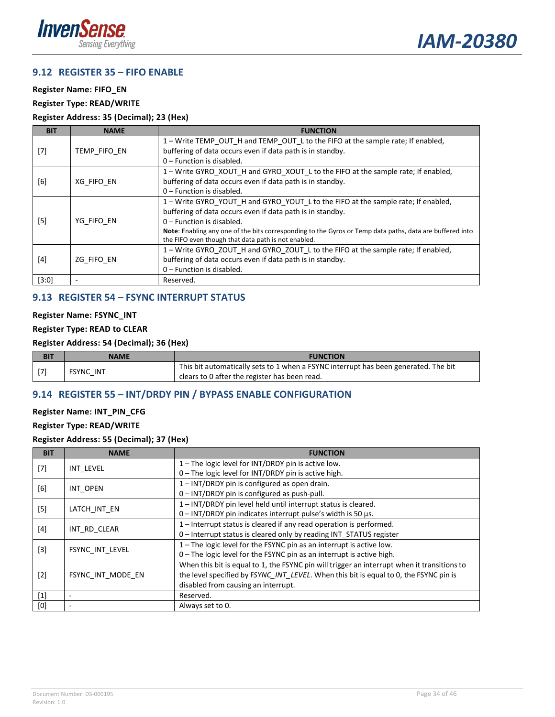

#### <span id="page-33-0"></span>**9.12 REGISTER 35 – FIFO ENABLE**

**Register Name: FIFO\_EN**

**Register Type: READ/WRITE**

#### **Register Address: 35 (Decimal); 23 (Hex)**

| <b>BIT</b> | <b>NAME</b>  | <b>FUNCTION</b>                                                                                          |
|------------|--------------|----------------------------------------------------------------------------------------------------------|
|            |              | 1 - Write TEMP_OUT_H and TEMP_OUT_L to the FIFO at the sample rate; If enabled,                          |
| $[7]$      | TEMP FIFO EN | buffering of data occurs even if data path is in standby.                                                |
|            |              | 0 – Function is disabled.                                                                                |
|            |              | 1 - Write GYRO_XOUT_H and GYRO_XOUT_L to the FIFO at the sample rate; If enabled,                        |
| [6]        | XG FIFO EN   | buffering of data occurs even if data path is in standby.                                                |
|            |              | $0$ – Function is disabled.                                                                              |
|            |              | 1-Write GYRO_YOUT_H and GYRO_YOUT_L to the FIFO at the sample rate; If enabled,                          |
|            | YG FIFO EN   | buffering of data occurs even if data path is in standby.                                                |
| $[5]$      |              | $0$ – Function is disabled.                                                                              |
|            |              | Note: Enabling any one of the bits corresponding to the Gyros or Temp data paths, data are buffered into |
|            |              | the FIFO even though that data path is not enabled.                                                      |
|            |              | 1 – Write GYRO ZOUT H and GYRO ZOUT L to the FIFO at the sample rate; If enabled,                        |
| $[4]$      | ZG FIFO EN   | buffering of data occurs even if data path is in standby.                                                |
|            |              | 0 - Function is disabled.                                                                                |
| $[3:0]$    |              | Reserved.                                                                                                |

### <span id="page-33-1"></span>**9.13 REGISTER 54 – FSYNC INTERRUPT STATUS**

#### **Register Name: FSYNC\_INT**

#### **Register Type: READ to CLEAR**

#### **Register Address: 54 (Decimal); 36 (Hex)**

| <b>BI1</b> | <b>NAME</b>      | <b>FUNCTION</b>                                                                     |
|------------|------------------|-------------------------------------------------------------------------------------|
| $\sqrt{7}$ | <b>FSYNC INT</b> | This bit automatically sets to 1 when a FSYNC interrupt has been generated. The bit |
|            |                  | clears to 0 after the register has been read.                                       |

#### <span id="page-33-2"></span>**9.14 REGISTER 55 – INT/DRDY PIN / BYPASS ENABLE CONFIGURATION**

#### **Register Name: INT\_PIN\_CFG**

**Register Type: READ/WRITE**

**Register Address: 55 (Decimal); 37 (Hex)**

| <b>BIT</b> | <b>NAME</b>       | <b>FUNCTION</b>                                                                             |
|------------|-------------------|---------------------------------------------------------------------------------------------|
|            | INT LEVEL         | 1 – The logic level for INT/DRDY pin is active low.                                         |
| $[7]$      |                   | 0 - The logic level for INT/DRDY pin is active high.                                        |
| [6]        | INT OPEN          | 1-INT/DRDY pin is configured as open drain.                                                 |
|            |                   | 0 – INT/DRDY pin is configured as push-pull.                                                |
|            |                   | 1-INT/DRDY pin level held until interrupt status is cleared.                                |
| $[5]$      | LATCH INT EN      | $0$ – INT/DRDY pin indicates interrupt pulse's width is 50 $\mu$ s.                         |
|            | INT RD CLEAR      | 1-Interrupt status is cleared if any read operation is performed.                           |
| $[4]$      |                   | 0 - Interrupt status is cleared only by reading INT STATUS register                         |
|            | FSYNC INT LEVEL   | 1 - The logic level for the FSYNC pin as an interrupt is active low.                        |
| $[3]$      |                   | 0 - The logic level for the FSYNC pin as an interrupt is active high.                       |
|            |                   | When this bit is equal to 1, the FSYNC pin will trigger an interrupt when it transitions to |
| $[2]$      | FSYNC INT MODE EN | the level specified by FSYNC INT LEVEL. When this bit is equal to 0, the FSYNC pin is       |
|            |                   | disabled from causing an interrupt.                                                         |
| $[1]$      | ٠                 | Reserved.                                                                                   |
| [0]        | ٠                 | Always set to 0.                                                                            |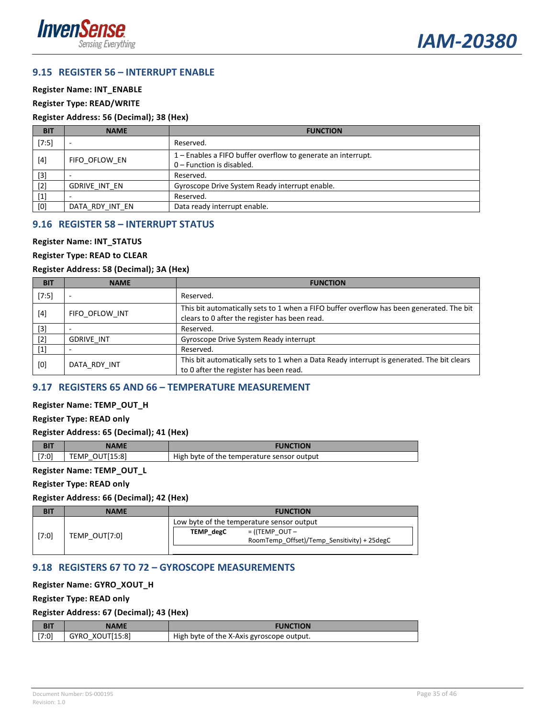



#### <span id="page-34-0"></span>**9.15 REGISTER 56 – INTERRUPT ENABLE**

#### **Register Name: INT\_ENABLE**

#### **Register Type: READ/WRITE**

#### **Register Address: 56 (Decimal); 38 (Hex)**

| <b>BIT</b> | <b>NAME</b>     | <b>FUNCTION</b>                                                                             |
|------------|-----------------|---------------------------------------------------------------------------------------------|
| $[7:5]$    | -               | Reserved.                                                                                   |
| $[4]$      | FIFO OFLOW EN   | 1 – Enables a FIFO buffer overflow to generate an interrupt.<br>$0$ – Function is disabled. |
| $[3]$      |                 | Reserved.                                                                                   |
| $[2]$      | GDRIVE INT EN   | Gyroscope Drive System Ready interrupt enable.                                              |
| $[1]$      |                 | Reserved.                                                                                   |
| [0]        | DATA RDY INT EN | Data ready interrupt enable.                                                                |

#### <span id="page-34-1"></span>**9.16 REGISTER 58 – INTERRUPT STATUS**

#### **Register Name: INT\_STATUS**

#### **Register Type: READ to CLEAR**

#### **Register Address: 58 (Decimal); 3A (Hex)**

| <b>BIT</b>                                                                                                                                                                                    | <b>NAME</b>              | <b>FUNCTION</b>                                                                                                                           |
|-----------------------------------------------------------------------------------------------------------------------------------------------------------------------------------------------|--------------------------|-------------------------------------------------------------------------------------------------------------------------------------------|
| $[7:5]$                                                                                                                                                                                       | $\overline{\phantom{a}}$ | Reserved.                                                                                                                                 |
| $[4] % \includegraphics[width=0.9\columnwidth]{images/TrDiS-Architecture.png} % \caption{The figure shows the results of the estimators in the left and right.} \label{TrDiS-Architecture} %$ | FIFO OFLOW INT           | This bit automatically sets to 1 when a FIFO buffer overflow has been generated. The bit<br>clears to 0 after the register has been read. |
| $[3]$                                                                                                                                                                                         |                          | Reserved.                                                                                                                                 |
| $[2]$                                                                                                                                                                                         | <b>GDRIVE INT</b>        | Gyroscope Drive System Ready interrupt                                                                                                    |
| $[1]$                                                                                                                                                                                         |                          | Reserved.                                                                                                                                 |
| [0]                                                                                                                                                                                           | DATA RDY INT             | This bit automatically sets to 1 when a Data Ready interrupt is generated. The bit clears<br>to 0 after the register has been read.       |

#### <span id="page-34-2"></span>**9.17 REGISTERS 65 AND 66 – TEMPERATURE MEASUREMENT**

#### **Register Name: TEMP\_OUT\_H**

#### **Register Type: READ only**

#### **Register Address: 65 (Decimal); 41 (Hex)**

| n r   | NAME                        | <b>NCTION</b><br>ING                       |
|-------|-----------------------------|--------------------------------------------|
| [7:0] | 15.81<br>، EMP<br>,,,,<br>. | High byte of the temperature sensor output |

#### **Register Name: TEMP\_OUT\_L**

#### **Register Type: READ only**

#### **Register Address: 66 (Decimal); 42 (Hex)**

|       | <b>NAME</b>   |                  | <b>FUNCTION</b>                             |
|-------|---------------|------------------|---------------------------------------------|
| [7:0] |               |                  | Low byte of the temperature sensor output   |
|       | TEMP OUT[7:0] | <b>TEMP</b> degC | $=$ ((TEMP OUT $-$                          |
|       |               |                  | RoomTemp_Offset)/Temp_Sensitivity) + 25degC |
|       |               |                  |                                             |

#### <span id="page-34-3"></span>**9.18 REGISTERS 67 TO 72 – GYROSCOPE MEASUREMENTS**

#### **Register Name: GYRO\_XOUT\_H**

#### **Register Type: READ only**

#### **Register Address: 67 (Decimal); 43 (Hex)**

| <b>BIT</b> | <b>NAME</b>     | <b>FUNCTION</b>                           |
|------------|-----------------|-------------------------------------------|
| [7:0]      | GYRO XOUT[15:8] | High byte of the X-Axis gyroscope output. |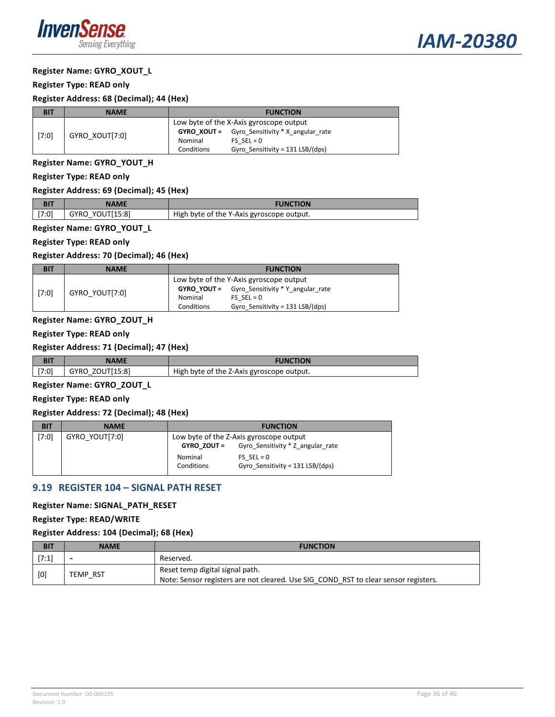

#### **Register Name: GYRO\_XOUT\_L**

#### **Register Type: READ only**

#### **Register Address: 68 (Decimal); 44 (Hex)**

| <b>BIT</b> | <b>NAME</b>    |                                         | <b>FUNCTION</b>                                        |
|------------|----------------|-----------------------------------------|--------------------------------------------------------|
| [7:0]      |                | Low byte of the X-Axis gyroscope output |                                                        |
|            | GYRO XOUT[7:0] |                                         | <b>GYRO XOUT</b> = Gyro Sensitivity $*$ X angular rate |
|            |                | Nominal                                 | $FS$ SEL = 0                                           |
|            |                | Conditions                              | Gyro Sensitivity = $131$ LSB/(dps)                     |

### **Register Name: GYRO\_YOUT\_H**

**Register Type: READ only**

#### **Register Address: 69 (Decimal); 45 (Hex)**

| <b>BIT</b> | NAME            | <b>FUNCTION</b>                           |
|------------|-----------------|-------------------------------------------|
| [7:0]      | GYRO YOUT[15:8] | High byte of the Y-Axis gyroscope output. |
|            |                 |                                           |

### **Register Name: GYRO\_YOUT\_L**

#### **Register Type: READ only**

#### **Register Address: 70 (Decimal); 46 (Hex)**

| <b>BIT</b> | <b>NAME</b>    |                                         | <b>FUNCTION</b>                                      |
|------------|----------------|-----------------------------------------|------------------------------------------------------|
| [7:0]      |                | Low byte of the Y-Axis gyroscope output |                                                      |
|            | GYRO YOUT[7:0] |                                         | <b>GYRO YOUT</b> = Gyro Sensitivity * Y angular rate |
|            |                | Nominal                                 | $FS$ SEL = 0                                         |
|            |                | Conditions                              | Gyro Sensitivity = 131 LSB/(dps)                     |

#### **Register Name: GYRO\_ZOUT\_H**

#### **Register Type: READ only**

#### **Register Address: 71 (Decimal); 47 (Hex)**

| <b>BI1</b> | IAME               | <b>FUNCTION</b>                           |
|------------|--------------------|-------------------------------------------|
| 17:01      | ZOUT[15:8]<br>GYRO | High byte of the Z-Axis gyroscope output. |

#### **Register Name: GYRO\_ZOUT\_L**

#### **Register Type: READ only**

#### **Register Address: 72 (Decimal); 48 (Hex)**

| <b>BIT</b> | <b>NAME</b>    |             | <b>FUNCTION</b>                         |
|------------|----------------|-------------|-----------------------------------------|
| $[7:0]$    | GYRO YOUT[7:0] |             | Low byte of the Z-Axis gyroscope output |
|            |                | GYRO ZOUT = | Gyro Sensitivity * Z angular rate       |
|            |                | Nominal     | FS $SEL = 0$                            |
|            |                | Conditions  | Gyro Sensitivity = 131 LSB/(dps)        |

#### <span id="page-35-0"></span>**9.19 REGISTER 104 – SIGNAL PATH RESET**

#### **Register Name: SIGNAL\_PATH\_RESET**

#### **Register Type: READ/WRITE**

#### **Register Address: 104 (Decimal); 68 (Hex)**

| <b>BIT</b> | <b>NAME</b>     | <b>FUNCTION</b>                                                                     |
|------------|-----------------|-------------------------------------------------------------------------------------|
| [7:1]      | ۰               | Reserved.                                                                           |
| [0]        | <b>TEMP RST</b> | Reset temp digital signal path.                                                     |
|            |                 | Note: Sensor registers are not cleared. Use SIG COND RST to clear sensor registers. |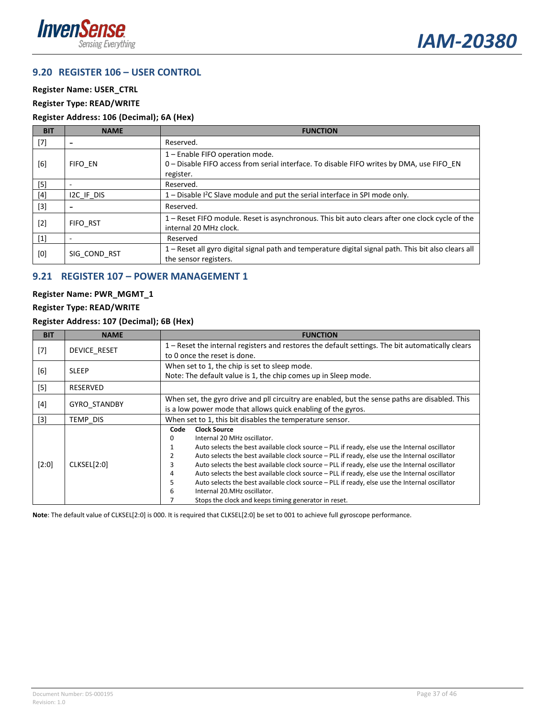



#### <span id="page-36-0"></span>**9.20 REGISTER 106 – USER CONTROL**

**Register Name: USER\_CTRL**

#### **Register Type: READ/WRITE**

#### **Register Address: 106 (Decimal); 6A (Hex)**

| <b>BIT</b> | <b>NAME</b>              | <b>FUNCTION</b>                                                                                                                           |
|------------|--------------------------|-------------------------------------------------------------------------------------------------------------------------------------------|
| $[7]$      | $\overline{\phantom{a}}$ | Reserved.                                                                                                                                 |
| [6]        | FIFO EN                  | 1 - Enable FIFO operation mode.<br>0 - Disable FIFO access from serial interface. To disable FIFO writes by DMA, use FIFO_EN<br>register. |
| $[5]$      | ٠                        | Reserved.                                                                                                                                 |
| $[4]$      | IZC IF DIS               | $1 -$ Disable $12C$ Slave module and put the serial interface in SPI mode only.                                                           |
| $[3]$      | $\overline{\phantom{0}}$ | Reserved.                                                                                                                                 |
| $[2]$      | FIFO RST                 | 1 - Reset FIFO module. Reset is asynchronous. This bit auto clears after one clock cycle of the<br>internal 20 MHz clock.                 |
| $[1]$      | $\overline{\phantom{a}}$ | Reserved                                                                                                                                  |
| [0]        | SIG COND RST             | 1 – Reset all gyro digital signal path and temperature digital signal path. This bit also clears all<br>the sensor registers.             |

### <span id="page-36-1"></span>**9.21 REGISTER 107 – POWER MANAGEMENT 1**

#### **Register Name: PWR\_MGMT\_1**

#### **Register Type: READ/WRITE**

#### **Register Address: 107 (Decimal); 6B (Hex)**

| <b>BIT</b>        | <b>NAME</b>  | <b>FUNCTION</b>                                                                                                                                                                                                                                                                                                                                                                                                                                                                                                                                                                                                                                                                           |  |  |
|-------------------|--------------|-------------------------------------------------------------------------------------------------------------------------------------------------------------------------------------------------------------------------------------------------------------------------------------------------------------------------------------------------------------------------------------------------------------------------------------------------------------------------------------------------------------------------------------------------------------------------------------------------------------------------------------------------------------------------------------------|--|--|
| $[7]$             | DEVICE RESET | 1 – Reset the internal registers and restores the default settings. The bit automatically clears<br>to 0 once the reset is done.                                                                                                                                                                                                                                                                                                                                                                                                                                                                                                                                                          |  |  |
| [6]               | <b>SLEEP</b> | When set to 1, the chip is set to sleep mode.<br>Note: The default value is 1, the chip comes up in Sleep mode.                                                                                                                                                                                                                                                                                                                                                                                                                                                                                                                                                                           |  |  |
| [5]               | RESERVED     |                                                                                                                                                                                                                                                                                                                                                                                                                                                                                                                                                                                                                                                                                           |  |  |
| [4]               | GYRO_STANDBY | When set, the gyro drive and pll circuitry are enabled, but the sense paths are disabled. This<br>is a low power mode that allows quick enabling of the gyros.                                                                                                                                                                                                                                                                                                                                                                                                                                                                                                                            |  |  |
| $\lceil 3 \rceil$ | TEMP DIS     | When set to 1, this bit disables the temperature sensor.                                                                                                                                                                                                                                                                                                                                                                                                                                                                                                                                                                                                                                  |  |  |
| $[2:0]$           | CLKSEL[2:0]  | <b>Clock Source</b><br>Code<br>Internal 20 MHz oscillator.<br>0<br>Auto selects the best available clock source - PLL if ready, else use the Internal oscillator<br>1<br>Auto selects the best available clock source - PLL if ready, else use the Internal oscillator<br>2<br>Auto selects the best available clock source - PLL if ready, else use the Internal oscillator<br>3<br>Auto selects the best available clock source - PLL if ready, else use the Internal oscillator<br>4<br>Auto selects the best available clock source - PLL if ready, else use the Internal oscillator<br>5<br>Internal 20.MHz oscillator.<br>6<br>Stops the clock and keeps timing generator in reset. |  |  |

**Note**: The default value of CLKSEL[2:0] is 000. It is required that CLKSEL[2:0] be set to 001 to achieve full gyroscope performance.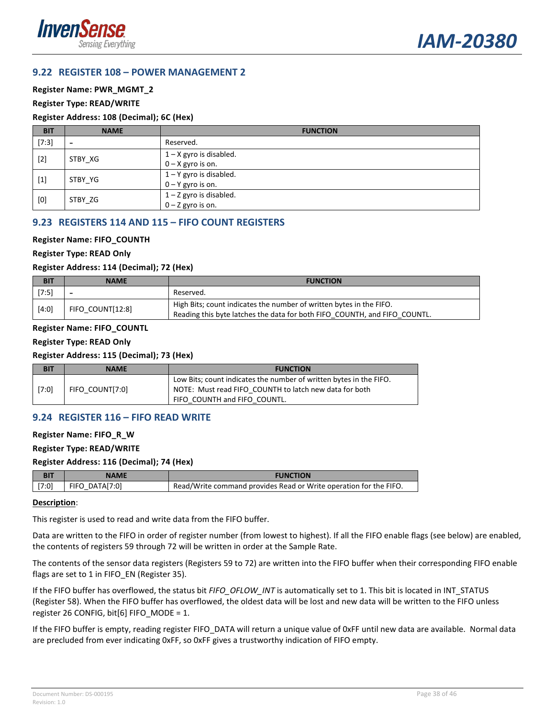



#### <span id="page-37-0"></span>**9.22 REGISTER 108 – POWER MANAGEMENT 2**

#### **Register Name: PWR\_MGMT\_2**

#### **Register Type: READ/WRITE**

#### **Register Address: 108 (Decimal); 6C (Hex)**

| <b>BIT</b> | <b>NAME</b>              | <b>FUNCTION</b>                                  |
|------------|--------------------------|--------------------------------------------------|
| [7:3]      | $\overline{\phantom{a}}$ | Reserved.                                        |
| $[2]$      | STBY XG                  | $1 - X$ gyro is disabled.<br>$0 - X$ gyro is on. |
| $[1]$      | STBY YG                  | $1 - Y$ gyro is disabled.<br>$0 - Y$ gyro is on. |
| [0]        | STBY ZG                  | $1 - Z$ gyro is disabled.<br>$0 - Z$ gyro is on. |

#### <span id="page-37-1"></span>**9.23 REGISTERS 114 AND 115 – FIFO COUNT REGISTERS**

#### **Register Name: FIFO\_COUNTH**

#### **Register Type: READ Only**

#### **Register Address: 114 (Decimal); 72 (Hex)**

| <b>BIT</b> | <b>NAME</b>              | <b>FUNCTION</b>                                                                                                                                  |
|------------|--------------------------|--------------------------------------------------------------------------------------------------------------------------------------------------|
| $[7:5]$    | $\overline{\phantom{0}}$ | Reserved.                                                                                                                                        |
| $[4:0]$    | FIFO COUNT[12:8]         | High Bits; count indicates the number of written bytes in the FIFO.<br>Reading this byte latches the data for both FIFO COUNTH, and FIFO COUNTL. |

#### **Register Name: FIFO\_COUNTL**

#### **Register Type: READ Only**

#### **Register Address: 115 (Decimal); 73 (Hex)**

| <b>BIT</b> | NAME            | <b>FUNCTION</b>                                                    |
|------------|-----------------|--------------------------------------------------------------------|
|            |                 | Low Bits; count indicates the number of written bytes in the FIFO. |
| $[7:0]$    | FIFO COUNT[7:0] | NOTE: Must read FIFO COUNTH to latch new data for both             |
|            |                 | FIFO COUNTH and FIFO COUNTL.                                       |

#### <span id="page-37-2"></span>**9.24 REGISTER 116 – FIFO READ WRITE**

#### **Register Name: FIFO\_R\_W**

#### **Register Type: READ/WRITE**

#### **Register Address: 116 (Decimal); 74 (Hex)**

| BIT   | NAME           | FUNCTION                                                          |
|-------|----------------|-------------------------------------------------------------------|
| [7:0] | FIFO DATA[7:0] | Read/Write command provides Read or Write operation for the FIFO. |

#### **Description**:

This register is used to read and write data from the FIFO buffer.

Data are written to the FIFO in order of register number (from lowest to highest). If all the FIFO enable flags (see below) are enabled, the contents of registers 59 through 72 will be written in order at the Sample Rate.

The contents of the sensor data registers (Registers 59 to 72) are written into the FIFO buffer when their corresponding FIFO enable flags are set to 1 in FIFO\_EN (Register 35).

If the FIFO buffer has overflowed, the status bit *FIFO\_OFLOW\_INT* is automatically set to 1. This bit is located in INT\_STATUS (Register 58). When the FIFO buffer has overflowed, the oldest data will be lost and new data will be written to the FIFO unless register 26 CONFIG, bit[6] FIFO\_MODE = 1.

<span id="page-37-3"></span>If the FIFO buffer is empty, reading register FIFO\_DATA will return a unique value of 0xFF until new data are available. Normal data are precluded from ever indicating 0xFF, so 0xFF gives a trustworthy indication of FIFO empty.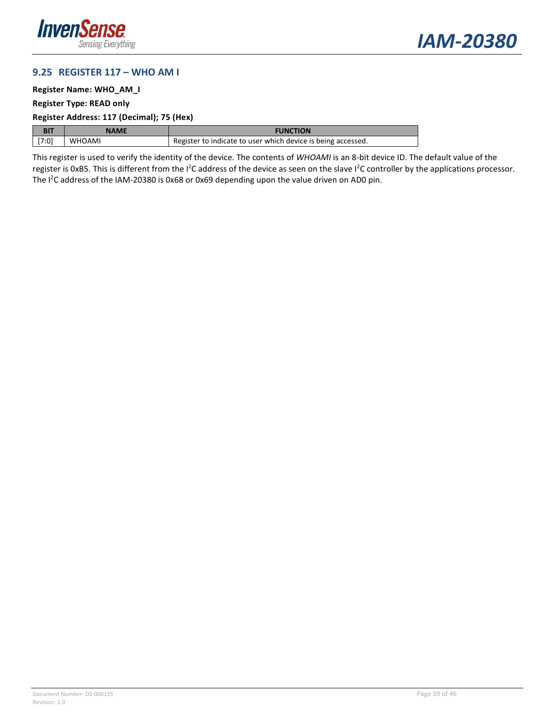



#### **9.25 REGISTER 117 – WHO AM I**

#### **Register Name: WHO\_AM\_I**

#### **Register Type: READ only**

#### **Register Address: 117 (Decimal); 75 (Hex)**

| <b>BIT</b> | NAME          | <b>FUNCTION</b>                                              |
|------------|---------------|--------------------------------------------------------------|
| [7:0]      | <b>WHOAMI</b> | Register to indicate to user which device is being accessed. |

This register is used to verify the identity of the device. The contents of *WHOAMI* is an 8-bit device ID. The default value of the register is 0xB5. This is different from the I<sup>2</sup>C address of the device as seen on the slave I<sup>2</sup>C controller by the applications processor. The I<sup>2</sup>C address of the IAM-20380 is 0x68 or 0x69 depending upon the value driven on AD0 pin.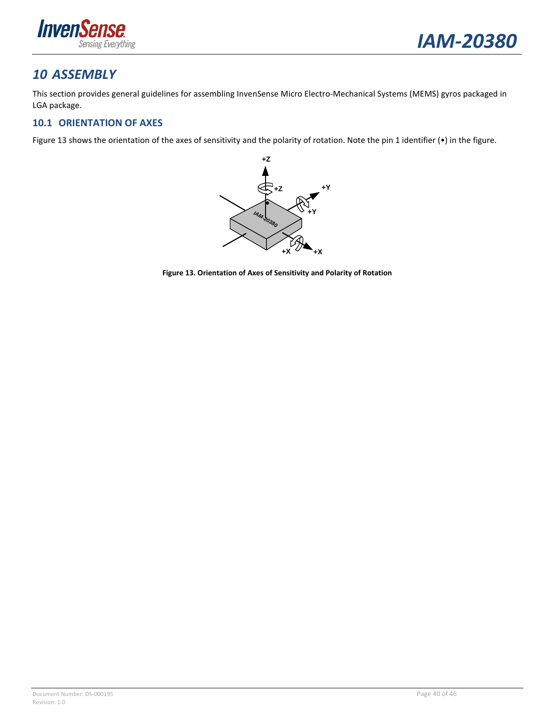

## <span id="page-39-0"></span>*10 ASSEMBLY*

This section provides general guidelines for assembling InvenSense Micro Electro-Mechanical Systems (MEMS) gyros packaged in LGA package.

### <span id="page-39-1"></span>**10.1 ORIENTATION OF AXES**

<span id="page-39-2"></span>[Figure 13](#page-39-2) shows the orientation of the axes of sensitivity and the polarity of rotation. Note the pin 1 identifier (•) in the figure.



**Figure 13. Orientation of Axes of Sensitivity and Polarity of Rotation**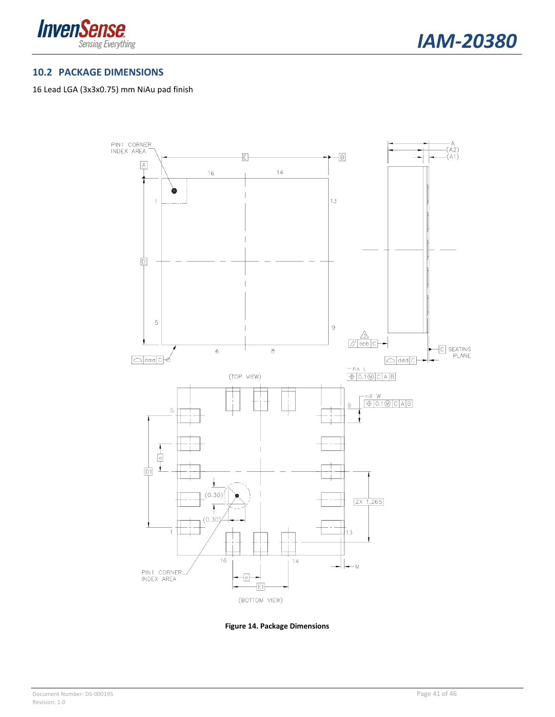



#### <span id="page-40-0"></span>**10.2 PACKAGE DIMENSIONS**

#### 16 Lead LGA (3x3x0.75) mm NiAu pad finish



<span id="page-40-1"></span>**Figure 14. Package Dimensions**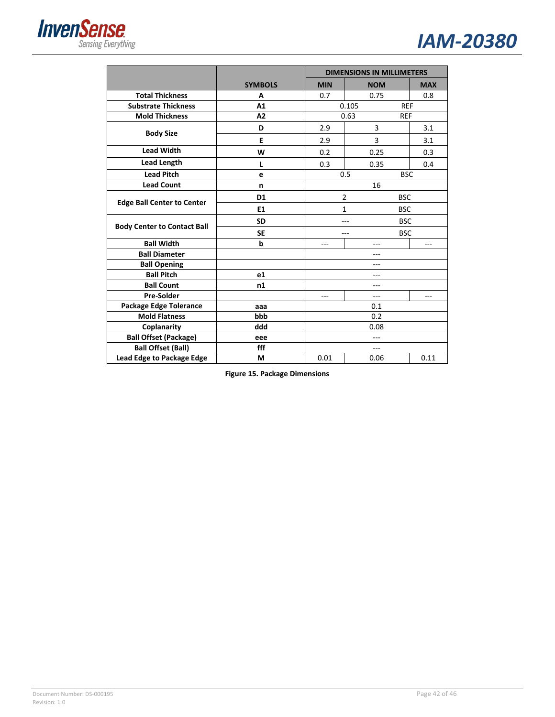



|                                    |                |            | <b>DIMENSIONS IN MILLIMETERS</b> |            |
|------------------------------------|----------------|------------|----------------------------------|------------|
|                                    | <b>SYMBOLS</b> | <b>MIN</b> | <b>NOM</b>                       | <b>MAX</b> |
| <b>Total Thickness</b>             | A              | 0.7        | 0.75                             | 0.8        |
| <b>Substrate Thickness</b>         | A1             |            | 0.105<br><b>REF</b>              |            |
| <b>Mold Thickness</b>              | A2             |            | 0.63<br><b>REF</b>               |            |
| <b>Body Size</b>                   | D              | 2.9        | 3                                | 3.1        |
|                                    | Е              | 2.9        | 3                                | 3.1        |
| <b>Lead Width</b>                  | W              | 0.2        | 0.25                             | 0.3        |
| <b>Lead Length</b>                 | L              | 0.3        | 0.35                             | 0.4        |
| <b>Lead Pitch</b>                  | e              |            | 0.5<br><b>BSC</b>                |            |
| <b>Lead Count</b>                  | n              |            | 16                               |            |
| <b>Edge Ball Center to Center</b>  | D <sub>1</sub> |            | $\overline{2}$<br><b>BSC</b>     |            |
|                                    | E1             |            | 1<br><b>BSC</b>                  |            |
|                                    | <b>SD</b>      | <b>BSC</b> |                                  |            |
| <b>Body Center to Contact Ball</b> | <b>SE</b>      |            | <b>BSC</b>                       |            |
| <b>Ball Width</b>                  | b              | ---        | ---                              | ---        |
| <b>Ball Diameter</b>               |                |            | ---                              |            |
| <b>Ball Opening</b>                |                |            | ---                              |            |
| <b>Ball Pitch</b>                  | e1             |            | ---                              |            |
| <b>Ball Count</b>                  | n1             |            | ---                              |            |
| <b>Pre-Solder</b>                  |                | ---        | ---                              | ---        |
| Package Edge Tolerance             | aaa            | 0.1        |                                  |            |
| <b>Mold Flatness</b>               | bbb            |            | 0.2                              |            |
| Coplanarity                        | ddd            |            | 0.08                             |            |
| <b>Ball Offset (Package)</b>       | eee            |            | ---                              |            |
| <b>Ball Offset (Ball)</b>          | fff            |            | ---                              |            |
| Lead Edge to Package Edge          | М              | 0.01       | 0.06                             | 0.11       |

<span id="page-41-0"></span>**Figure 15. Package Dimensions**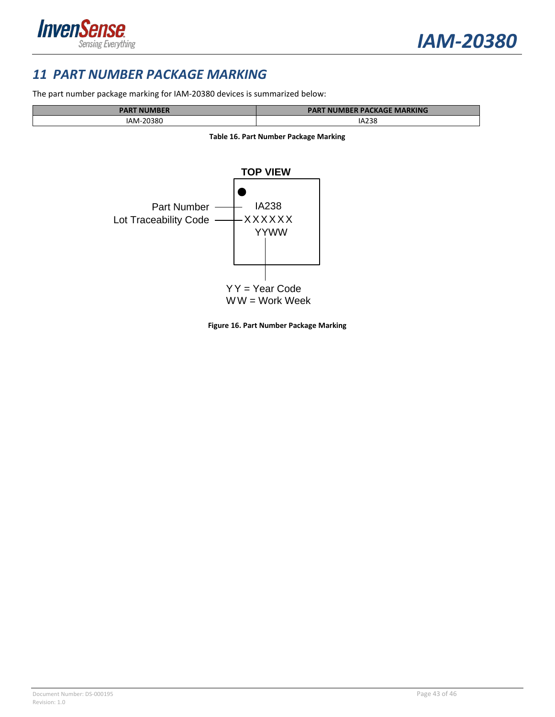

### <span id="page-42-0"></span>*11 PART NUMBER PACKAGE MARKING*

The part number package marking for IAM-20380 devices is summarized below:

<span id="page-42-2"></span>

| <b>PART NUMBER</b>    | T NUMBER PACKAGE MARKING<br>PAK |
|-----------------------|---------------------------------|
| -20380<br>AM-<br>____ | IA238<br>___                    |



<span id="page-42-1"></span>

**Figure 16. Part Number Package Marking**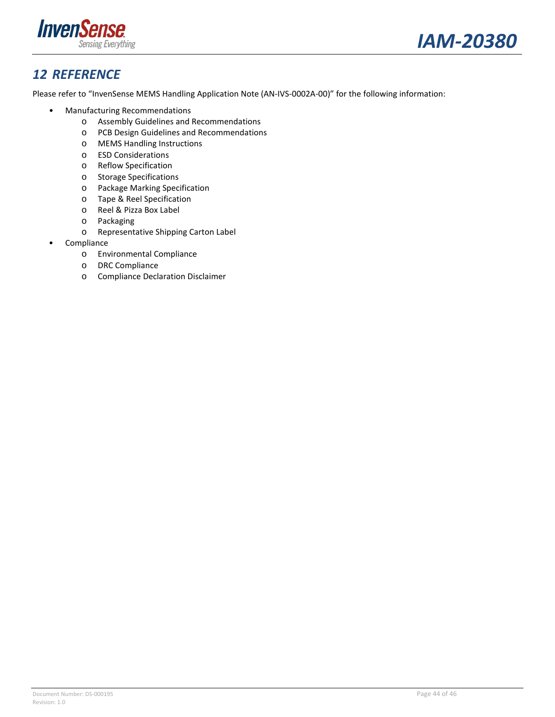



## <span id="page-43-0"></span>*12 REFERENCE*

Please refer to "InvenSense MEMS Handling Application Note (AN-IVS-0002A-00)" for the following information:

- Manufacturing Recommendations
	- o Assembly Guidelines and Recommendations
	- o PCB Design Guidelines and Recommendations
	- o MEMS Handling Instructions
	- o ESD Considerations
	- o Reflow Specification
	- o Storage Specifications
	- o Package Marking Specification
	- o Tape & Reel Specification
	- o Reel & Pizza Box Label
	- o Packaging
	- o Representative Shipping Carton Label
- Compliance
	- o Environmental Compliance
	- o DRC Compliance
	- o Compliance Declaration Disclaimer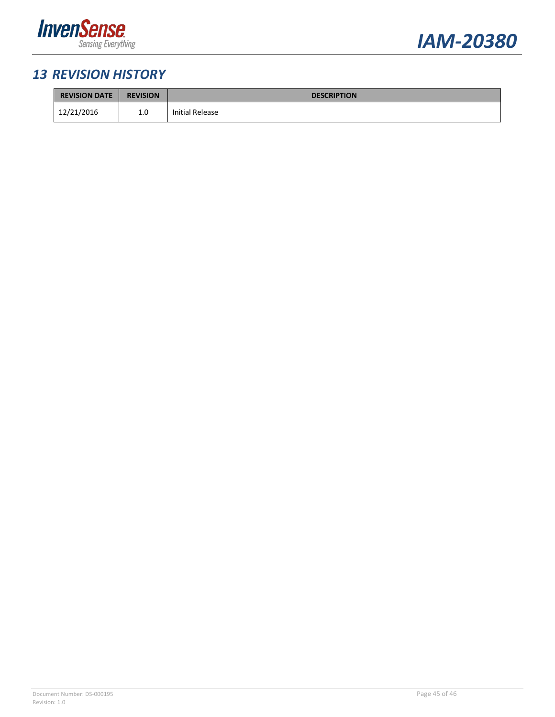



## <span id="page-44-0"></span>*13 REVISION HISTORY*

| <b>REVISION DATE</b> | <b>REVISION</b> | <b>DESCRIPTION</b> |
|----------------------|-----------------|--------------------|
| 12/21/2016           | 1.0             | Initial Release    |